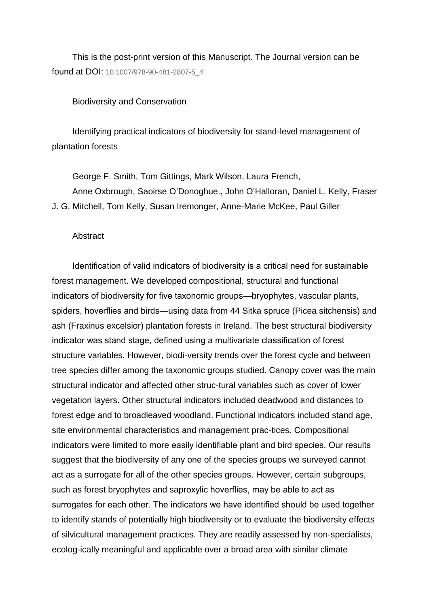This is the post-print version of this Manuscript. The Journal version can be found at DOI: 10.1007/978-90-481-2807-5\_4

Biodiversity and Conservation

Identifying practical indicators of biodiversity for stand-level management of plantation forests

George F. Smith, Tom Gittings, Mark Wilson, Laura French, Anne Oxbrough, Saoirse O'Donoghue., John O'Halloran, Daniel L. Kelly, Fraser J. G. Mitchell, Tom Kelly, Susan Iremonger, Anne-Marie McKee, Paul Giller

# Abstract

Identification of valid indicators of biodiversity is a critical need for sustainable forest management. We developed compositional, structural and functional indicators of biodiversity for five taxonomic groups—bryophytes, vascular plants, spiders, hoverflies and birds—using data from 44 Sitka spruce (Picea sitchensis) and ash (Fraxinus excelsior) plantation forests in Ireland. The best structural biodiversity indicator was stand stage, defined using a multivariate classification of forest structure variables. However, biodi-versity trends over the forest cycle and between tree species differ among the taxonomic groups studied. Canopy cover was the main structural indicator and affected other struc-tural variables such as cover of lower vegetation layers. Other structural indicators included deadwood and distances to forest edge and to broadleaved woodland. Functional indicators included stand age, site environmental characteristics and management prac-tices. Compositional indicators were limited to more easily identifiable plant and bird species. Our results suggest that the biodiversity of any one of the species groups we surveyed cannot act as a surrogate for all of the other species groups. However, certain subgroups, such as forest bryophytes and saproxylic hoverflies, may be able to act as surrogates for each other. The indicators we have identified should be used together to identify stands of potentially high biodiversity or to evaluate the biodiversity effects of silvicultural management practices. They are readily assessed by non-specialists, ecolog-ically meaningful and applicable over a broad area with similar climate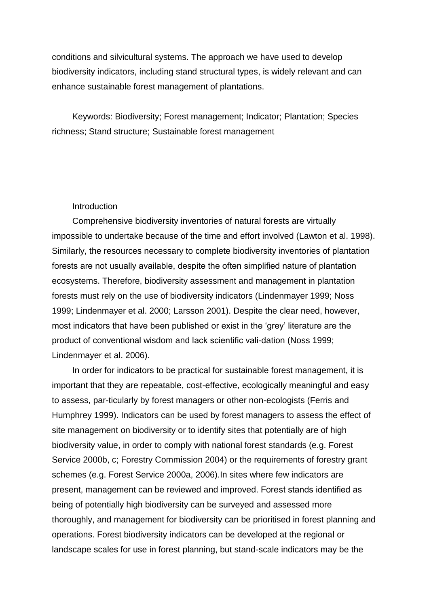conditions and silvicultural systems. The approach we have used to develop biodiversity indicators, including stand structural types, is widely relevant and can enhance sustainable forest management of plantations.

Keywords: Biodiversity; Forest management; Indicator; Plantation; Species richness; Stand structure; Sustainable forest management

#### Introduction

Comprehensive biodiversity inventories of natural forests are virtually impossible to undertake because of the time and effort involved (Lawton et al. 1998). Similarly, the resources necessary to complete biodiversity inventories of plantation forests are not usually available, despite the often simplified nature of plantation ecosystems. Therefore, biodiversity assessment and management in plantation forests must rely on the use of biodiversity indicators (Lindenmayer 1999; Noss 1999; Lindenmayer et al. 2000; Larsson 2001). Despite the clear need, however, most indicators that have been published or exist in the 'grey' literature are the product of conventional wisdom and lack scientific vali-dation (Noss 1999; Lindenmayer et al. 2006).

In order for indicators to be practical for sustainable forest management, it is important that they are repeatable, cost-effective, ecologically meaningful and easy to assess, par-ticularly by forest managers or other non-ecologists (Ferris and Humphrey 1999). Indicators can be used by forest managers to assess the effect of site management on biodiversity or to identify sites that potentially are of high biodiversity value, in order to comply with national forest standards (e.g. Forest Service 2000b, c; Forestry Commission 2004) or the requirements of forestry grant schemes (e.g. Forest Service 2000a, 2006).In sites where few indicators are present, management can be reviewed and improved. Forest stands identified as being of potentially high biodiversity can be surveyed and assessed more thoroughly, and management for biodiversity can be prioritised in forest planning and operations. Forest biodiversity indicators can be developed at the regional or landscape scales for use in forest planning, but stand-scale indicators may be the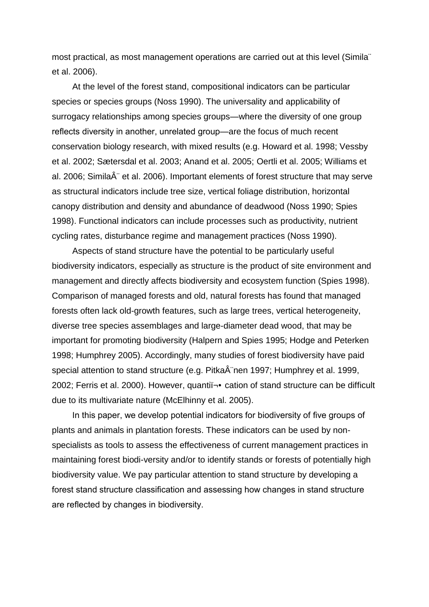most practical, as most management operations are carried out at this level (Simila¨ et al. 2006).

At the level of the forest stand, compositional indicators can be particular species or species groups (Noss 1990). The universality and applicability of surrogacy relationships among species groups—where the diversity of one group reflects diversity in another, unrelated group—are the focus of much recent conservation biology research, with mixed results (e.g. Howard et al. 1998; Vessby et al. 2002; Sætersdal et al. 2003; Anand et al. 2005; Oertli et al. 2005; Williams et al. 2006; Simila $\hat{A}$ " et al. 2006). Important elements of forest structure that may serve as structural indicators include tree size, vertical foliage distribution, horizontal canopy distribution and density and abundance of deadwood (Noss 1990; Spies 1998). Functional indicators can include processes such as productivity, nutrient cycling rates, disturbance regime and management practices (Noss 1990).

Aspects of stand structure have the potential to be particularly useful biodiversity indicators, especially as structure is the product of site environment and management and directly affects biodiversity and ecosystem function (Spies 1998). Comparison of managed forests and old, natural forests has found that managed forests often lack old-growth features, such as large trees, vertical heterogeneity, diverse tree species assemblages and large-diameter dead wood, that may be important for promoting biodiversity (Halpern and Spies 1995; Hodge and Peterken 1998; Humphrey 2005). Accordingly, many studies of forest biodiversity have paid special attention to stand structure (e.g. Pitka nen 1997; Humphrey et al. 1999, 2002; Ferris et al. 2000). However, quanti -• cation of stand structure can be difficult due to its multivariate nature (McElhinny et al. 2005).

In this paper, we develop potential indicators for biodiversity of five groups of plants and animals in plantation forests. These indicators can be used by nonspecialists as tools to assess the effectiveness of current management practices in maintaining forest biodi-versity and/or to identify stands or forests of potentially high biodiversity value. We pay particular attention to stand structure by developing a forest stand structure classification and assessing how changes in stand structure are reflected by changes in biodiversity.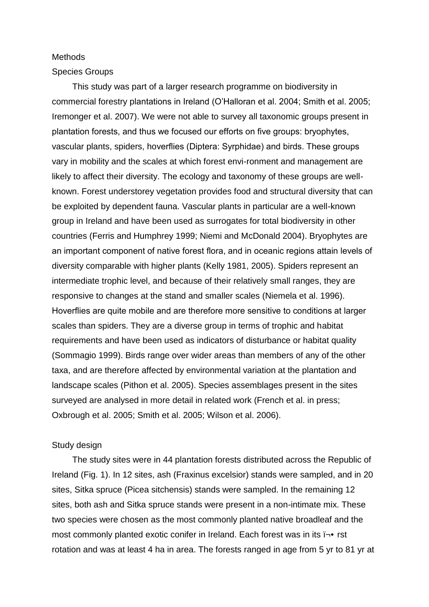#### **Methods**

#### Species Groups

This study was part of a larger research programme on biodiversity in commercial forestry plantations in Ireland (O'Halloran et al. 2004; Smith et al. 2005; Iremonger et al. 2007). We were not able to survey all taxonomic groups present in plantation forests, and thus we focused our efforts on five groups: bryophytes, vascular plants, spiders, hoverflies (Diptera: Syrphidae) and birds. These groups vary in mobility and the scales at which forest envi-ronment and management are likely to affect their diversity. The ecology and taxonomy of these groups are wellknown. Forest understorey vegetation provides food and structural diversity that can be exploited by dependent fauna. Vascular plants in particular are a well-known group in Ireland and have been used as surrogates for total biodiversity in other countries (Ferris and Humphrey 1999; Niemi and McDonald 2004). Bryophytes are an important component of native forest flora, and in oceanic regions attain levels of diversity comparable with higher plants (Kelly 1981, 2005). Spiders represent an intermediate trophic level, and because of their relatively small ranges, they are responsive to changes at the stand and smaller scales (Niemela et al. 1996). Hoverflies are quite mobile and are therefore more sensitive to conditions at larger scales than spiders. They are a diverse group in terms of trophic and habitat requirements and have been used as indicators of disturbance or habitat quality (Sommagio 1999). Birds range over wider areas than members of any of the other taxa, and are therefore affected by environmental variation at the plantation and landscape scales (Pithon et al. 2005). Species assemblages present in the sites surveyed are analysed in more detail in related work (French et al. in press; Oxbrough et al. 2005; Smith et al. 2005; Wilson et al. 2006).

## Study design

The study sites were in 44 plantation forests distributed across the Republic of Ireland (Fig. 1). In 12 sites, ash (Fraxinus excelsior) stands were sampled, and in 20 sites, Sitka spruce (Picea sitchensis) stands were sampled. In the remaining 12 sites, both ash and Sitka spruce stands were present in a non-intimate mix. These two species were chosen as the most commonly planted native broadleaf and the most commonly planted exotic conifer in Ireland. Each forest was in its i¥ rst rotation and was at least 4 ha in area. The forests ranged in age from 5 yr to 81 yr at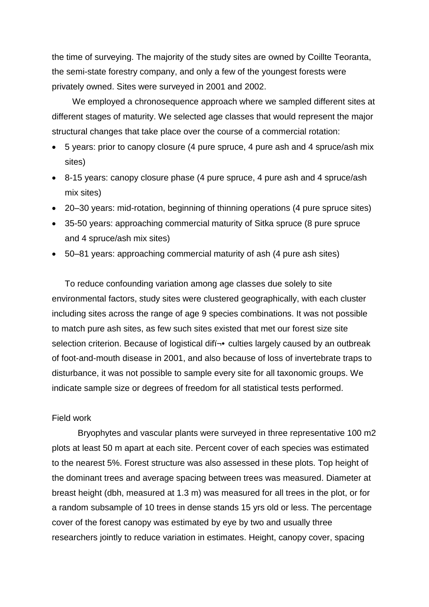the time of surveying. The majority of the study sites are owned by Coillte Teoranta, the semi-state forestry company, and only a few of the youngest forests were privately owned. Sites were surveyed in 2001 and 2002.

We employed a chronosequence approach where we sampled different sites at different stages of maturity. We selected age classes that would represent the major structural changes that take place over the course of a commercial rotation:

- 5 years: prior to canopy closure (4 pure spruce, 4 pure ash and 4 spruce/ash mix sites)
- 8-15 years: canopy closure phase (4 pure spruce, 4 pure ash and 4 spruce/ash mix sites)
- 20–30 years: mid-rotation, beginning of thinning operations (4 pure spruce sites)
- 35-50 years: approaching commercial maturity of Sitka spruce (8 pure spruce and 4 spruce/ash mix sites)
- 50–81 years: approaching commercial maturity of ash (4 pure ash sites)

To reduce confounding variation among age classes due solely to site environmental factors, study sites were clustered geographically, with each cluster including sites across the range of age 9 species combinations. It was not possible to match pure ash sites, as few such sites existed that met our forest size site selection criterion. Because of logistical difi¥ culties largely caused by an outbreak of foot-and-mouth disease in 2001, and also because of loss of invertebrate traps to disturbance, it was not possible to sample every site for all taxonomic groups. We indicate sample size or degrees of freedom for all statistical tests performed.

## Field work

Bryophytes and vascular plants were surveyed in three representative 100 m2 plots at least 50 m apart at each site. Percent cover of each species was estimated to the nearest 5%. Forest structure was also assessed in these plots. Top height of the dominant trees and average spacing between trees was measured. Diameter at breast height (dbh, measured at 1.3 m) was measured for all trees in the plot, or for a random subsample of 10 trees in dense stands 15 yrs old or less. The percentage cover of the forest canopy was estimated by eye by two and usually three researchers jointly to reduce variation in estimates. Height, canopy cover, spacing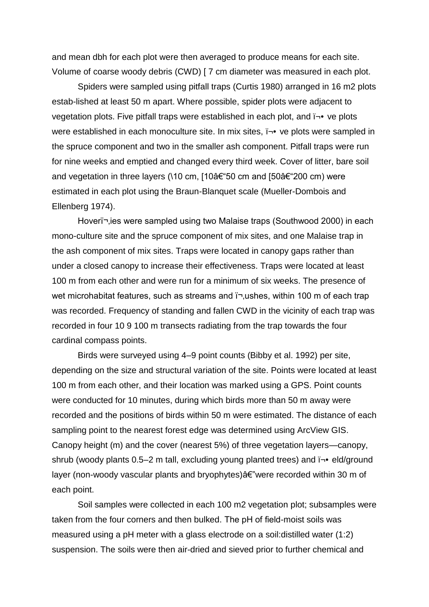and mean dbh for each plot were then averaged to produce means for each site. Volume of coarse woody debris (CWD) [ 7 cm diameter was measured in each plot.

Spiders were sampled using pitfall traps (Curtis 1980) arranged in 16 m2 plots estab-lished at least 50 m apart. Where possible, spider plots were adjacent to vegetation plots. Five pitfall traps were established in each plot, and i¥ ve plots were established in each monoculture site. In mix sites, ﬕ ve plots were sampled in the spruce component and two in the smaller ash component. Pitfall traps were run for nine weeks and emptied and changed every third week. Cover of litter, bare soil and vegetation in three layers (\10 cm,  $[10\text{a}€"50 \text{ cm}$  and  $[50\text{a}€"200 \text{ cm}]$  were estimated in each plot using the Braun-Blanquet scale (Mueller-Dombois and Ellenberg 1974).

Hoveri¬, ies were sampled using two Malaise traps (Southwood 2000) in each mono-culture site and the spruce component of mix sites, and one Malaise trap in the ash component of mix sites. Traps were located in canopy gaps rather than under a closed canopy to increase their effectiveness. Traps were located at least 100 m from each other and were run for a minimum of six weeks. The presence of wet microhabitat features, such as streams and inushes, within 100 m of each trap was recorded. Frequency of standing and fallen CWD in the vicinity of each trap was recorded in four 10 9 100 m transects radiating from the trap towards the four cardinal compass points.

Birds were surveyed using 4–9 point counts (Bibby et al. 1992) per site, depending on the size and structural variation of the site. Points were located at least 100 m from each other, and their location was marked using a GPS. Point counts were conducted for 10 minutes, during which birds more than 50 m away were recorded and the positions of birds within 50 m were estimated. The distance of each sampling point to the nearest forest edge was determined using ArcView GIS. Canopy height (m) and the cover (nearest 5%) of three vegetation layers—canopy, shrub (woody plants 0.5–2 m tall, excluding young planted trees) and ﬕ eld/ground layer (non-woody vascular plants and bryophytes) $\hat{a} \in \mathbb{R}^n$  were recorded within 30 m of each point.

Soil samples were collected in each 100 m2 vegetation plot; subsamples were taken from the four corners and then bulked. The pH of field-moist soils was measured using a pH meter with a glass electrode on a soil:distilled water (1:2) suspension. The soils were then air-dried and sieved prior to further chemical and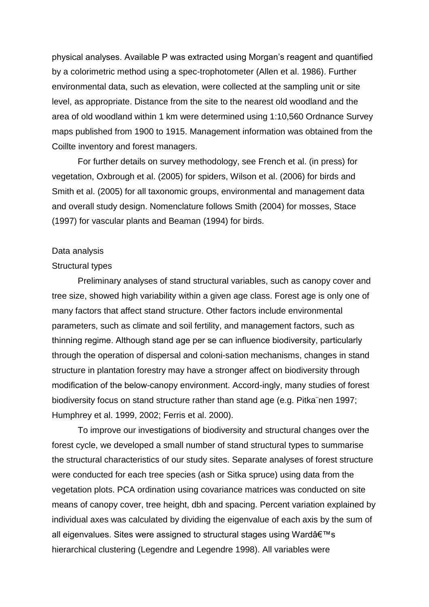physical analyses. Available P was extracted using Morgan's reagent and quantified by a colorimetric method using a spec-trophotometer (Allen et al. 1986). Further environmental data, such as elevation, were collected at the sampling unit or site level, as appropriate. Distance from the site to the nearest old woodland and the area of old woodland within 1 km were determined using 1:10,560 Ordnance Survey maps published from 1900 to 1915. Management information was obtained from the Coillte inventory and forest managers.

For further details on survey methodology, see French et al. (in press) for vegetation, Oxbrough et al. (2005) for spiders, Wilson et al. (2006) for birds and Smith et al. (2005) for all taxonomic groups, environmental and management data and overall study design. Nomenclature follows Smith (2004) for mosses, Stace (1997) for vascular plants and Beaman (1994) for birds.

#### Data analysis

## Structural types

Preliminary analyses of stand structural variables, such as canopy cover and tree size, showed high variability within a given age class. Forest age is only one of many factors that affect stand structure. Other factors include environmental parameters, such as climate and soil fertility, and management factors, such as thinning regime. Although stand age per se can influence biodiversity, particularly through the operation of dispersal and coloni-sation mechanisms, changes in stand structure in plantation forestry may have a stronger affect on biodiversity through modification of the below-canopy environment. Accord-ingly, many studies of forest biodiversity focus on stand structure rather than stand age (e.g. Pitka¨nen 1997; Humphrey et al. 1999, 2002; Ferris et al. 2000).

To improve our investigations of biodiversity and structural changes over the forest cycle, we developed a small number of stand structural types to summarise the structural characteristics of our study sites. Separate analyses of forest structure were conducted for each tree species (ash or Sitka spruce) using data from the vegetation plots. PCA ordination using covariance matrices was conducted on site means of canopy cover, tree height, dbh and spacing. Percent variation explained by individual axes was calculated by dividing the eigenvalue of each axis by the sum of all eigenvalues. Sites were assigned to structural stages using Ward $\hat{a} \in \mathbb{N}$ s hierarchical clustering (Legendre and Legendre 1998). All variables were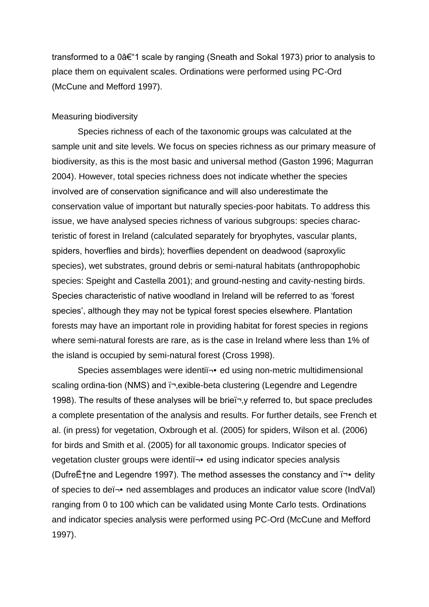transformed to a 0 $\hat{a}\in$  1 scale by ranging (Sneath and Sokal 1973) prior to analysis to place them on equivalent scales. Ordinations were performed using PC-Ord (McCune and Mefford 1997).

## Measuring biodiversity

Species richness of each of the taxonomic groups was calculated at the sample unit and site levels. We focus on species richness as our primary measure of biodiversity, as this is the most basic and universal method (Gaston 1996; Magurran 2004). However, total species richness does not indicate whether the species involved are of conservation significance and will also underestimate the conservation value of important but naturally species-poor habitats. To address this issue, we have analysed species richness of various subgroups: species characteristic of forest in Ireland (calculated separately for bryophytes, vascular plants, spiders, hoverflies and birds); hoverflies dependent on deadwood (saproxylic species), wet substrates, ground debris or semi-natural habitats (anthropophobic species: Speight and Castella 2001); and ground-nesting and cavity-nesting birds. Species characteristic of native woodland in Ireland will be referred to as 'forest species', although they may not be typical forest species elsewhere. Plantation forests may have an important role in providing habitat for forest species in regions where semi-natural forests are rare, as is the case in Ireland where less than 1% of the island is occupied by semi-natural forest (Cross 1998).

Species assemblages were identi -• ed using non-metric multidimensional scaling ordina-tion (NMS) and  $i$ -exible-beta clustering (Legendre and Legendre 1998). The results of these analyses will be briefly referred to, but space precludes a complete presentation of the analysis and results. For further details, see French et al. (in press) for vegetation, Oxbrough et al. (2005) for spiders, Wilson et al. (2006) for birds and Smith et al. (2005) for all taxonomic groups. Indicator species of vegetation cluster groups were identiï→• ed using indicator species analysis (Dufre $E$ †ne and Legendre 1997). The method assesses the constancy and  $\overline{I}$  delity of species to deï-• ned assemblages and produces an indicator value score (IndVal) ranging from 0 to 100 which can be validated using Monte Carlo tests. Ordinations and indicator species analysis were performed using PC-Ord (McCune and Mefford 1997).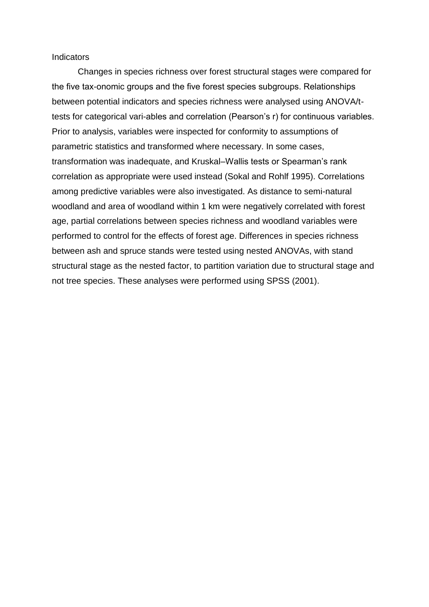#### **Indicators**

Changes in species richness over forest structural stages were compared for the five tax-onomic groups and the five forest species subgroups. Relationships between potential indicators and species richness were analysed using ANOVA/ttests for categorical vari-ables and correlation (Pearson's r) for continuous variables. Prior to analysis, variables were inspected for conformity to assumptions of parametric statistics and transformed where necessary. In some cases, transformation was inadequate, and Kruskal–Wallis tests or Spearman's rank correlation as appropriate were used instead (Sokal and Rohlf 1995). Correlations among predictive variables were also investigated. As distance to semi-natural woodland and area of woodland within 1 km were negatively correlated with forest age, partial correlations between species richness and woodland variables were performed to control for the effects of forest age. Differences in species richness between ash and spruce stands were tested using nested ANOVAs, with stand structural stage as the nested factor, to partition variation due to structural stage and not tree species. These analyses were performed using SPSS (2001).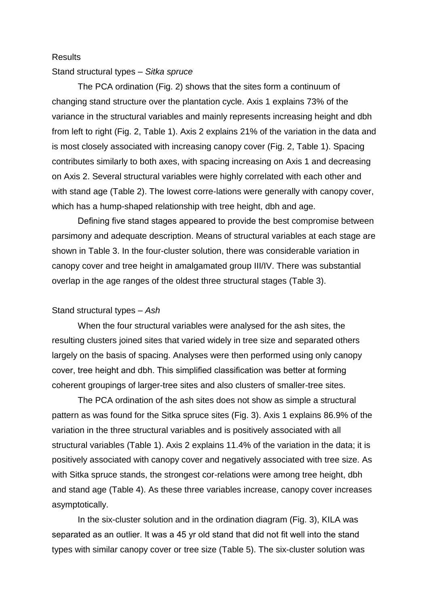#### Results

#### Stand structural types – *Sitka spruce*

The PCA ordination (Fig. 2) shows that the sites form a continuum of changing stand structure over the plantation cycle. Axis 1 explains 73% of the variance in the structural variables and mainly represents increasing height and dbh from left to right (Fig. 2, Table 1). Axis 2 explains 21% of the variation in the data and is most closely associated with increasing canopy cover (Fig. 2, Table 1). Spacing contributes similarly to both axes, with spacing increasing on Axis 1 and decreasing on Axis 2. Several structural variables were highly correlated with each other and with stand age (Table 2). The lowest corre-lations were generally with canopy cover, which has a hump-shaped relationship with tree height, dbh and age.

Defining five stand stages appeared to provide the best compromise between parsimony and adequate description. Means of structural variables at each stage are shown in Table 3. In the four-cluster solution, there was considerable variation in canopy cover and tree height in amalgamated group III/IV. There was substantial overlap in the age ranges of the oldest three structural stages (Table 3).

#### Stand structural types – *Ash*

When the four structural variables were analysed for the ash sites, the resulting clusters joined sites that varied widely in tree size and separated others largely on the basis of spacing. Analyses were then performed using only canopy cover, tree height and dbh. This simplified classification was better at forming coherent groupings of larger-tree sites and also clusters of smaller-tree sites.

The PCA ordination of the ash sites does not show as simple a structural pattern as was found for the Sitka spruce sites (Fig. 3). Axis 1 explains 86.9% of the variation in the three structural variables and is positively associated with all structural variables (Table 1). Axis 2 explains 11.4% of the variation in the data; it is positively associated with canopy cover and negatively associated with tree size. As with Sitka spruce stands, the strongest cor-relations were among tree height, dbh and stand age (Table 4). As these three variables increase, canopy cover increases asymptotically.

In the six-cluster solution and in the ordination diagram (Fig. 3), KILA was separated as an outlier. It was a 45 yr old stand that did not fit well into the stand types with similar canopy cover or tree size (Table 5). The six-cluster solution was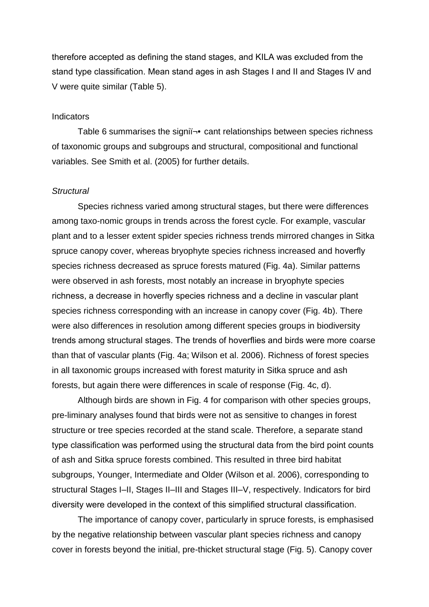therefore accepted as defining the stand stages, and KILA was excluded from the stand type classification. Mean stand ages in ash Stages I and II and Stages IV and V were quite similar (Table 5).

## **Indicators**

Table 6 summarises the signi $\rightarrow$  cant relationships between species richness of taxonomic groups and subgroups and structural, compositional and functional variables. See Smith et al. (2005) for further details.

## *Structural*

Species richness varied among structural stages, but there were differences among taxo-nomic groups in trends across the forest cycle. For example, vascular plant and to a lesser extent spider species richness trends mirrored changes in Sitka spruce canopy cover, whereas bryophyte species richness increased and hoverfly species richness decreased as spruce forests matured (Fig. 4a). Similar patterns were observed in ash forests, most notably an increase in bryophyte species richness, a decrease in hoverfly species richness and a decline in vascular plant species richness corresponding with an increase in canopy cover (Fig. 4b). There were also differences in resolution among different species groups in biodiversity trends among structural stages. The trends of hoverflies and birds were more coarse than that of vascular plants (Fig. 4a; Wilson et al. 2006). Richness of forest species in all taxonomic groups increased with forest maturity in Sitka spruce and ash forests, but again there were differences in scale of response (Fig. 4c, d).

Although birds are shown in Fig. 4 for comparison with other species groups, pre-liminary analyses found that birds were not as sensitive to changes in forest structure or tree species recorded at the stand scale. Therefore, a separate stand type classification was performed using the structural data from the bird point counts of ash and Sitka spruce forests combined. This resulted in three bird habitat subgroups, Younger, Intermediate and Older (Wilson et al. 2006), corresponding to structural Stages I–II, Stages II–III and Stages III–V, respectively. Indicators for bird diversity were developed in the context of this simplified structural classification.

The importance of canopy cover, particularly in spruce forests, is emphasised by the negative relationship between vascular plant species richness and canopy cover in forests beyond the initial, pre-thicket structural stage (Fig. 5). Canopy cover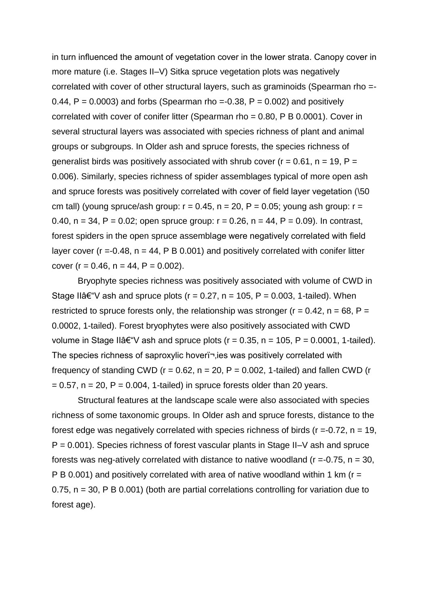in turn influenced the amount of vegetation cover in the lower strata. Canopy cover in more mature (i.e. Stages II–V) Sitka spruce vegetation plots was negatively correlated with cover of other structural layers, such as graminoids (Spearman rho =- 0.44,  $P = 0.0003$ ) and forbs (Spearman rho =-0.38,  $P = 0.002$ ) and positively correlated with cover of conifer litter (Spearman rho = 0.80, P B 0.0001). Cover in several structural layers was associated with species richness of plant and animal groups or subgroups. In Older ash and spruce forests, the species richness of generalist birds was positively associated with shrub cover ( $r = 0.61$ ,  $n = 19$ ,  $P =$ 0.006). Similarly, species richness of spider assemblages typical of more open ash and spruce forests was positively correlated with cover of field layer vegetation (\50 cm tall) (young spruce/ash group:  $r = 0.45$ ,  $n = 20$ ,  $P = 0.05$ ; young ash group:  $r =$ 0.40,  $n = 34$ ,  $P = 0.02$ ; open spruce group:  $r = 0.26$ ,  $n = 44$ ,  $P = 0.09$ ). In contrast, forest spiders in the open spruce assemblage were negatively correlated with field layer cover ( $r = -0.48$ ,  $n = 44$ , P B 0.001) and positively correlated with conifer litter cover ( $r = 0.46$ ,  $n = 44$ ,  $P = 0.002$ ).

Bryophyte species richness was positively associated with volume of CWD in Stage II $\hat{\alpha} \in V$  ash and spruce plots (r = 0.27, n = 105, P = 0.003, 1-tailed). When restricted to spruce forests only, the relationship was stronger ( $r = 0.42$ ,  $n = 68$ ,  $P =$ 0.0002, 1-tailed). Forest bryophytes were also positively associated with CWD volume in Stage II $\hat{a} \in V$  ash and spruce plots (r = 0.35, n = 105, P = 0.0001, 1-tailed). The species richness of saproxylic hover  $\bar{\mathbf{r}}$  ies was positively correlated with frequency of standing CWD ( $r = 0.62$ ,  $n = 20$ ,  $P = 0.002$ , 1-tailed) and fallen CWD ( $r = 0.62$ )  $= 0.57$ , n = 20, P = 0.004, 1-tailed) in spruce forests older than 20 years.

Structural features at the landscape scale were also associated with species richness of some taxonomic groups. In Older ash and spruce forests, distance to the forest edge was negatively correlated with species richness of birds ( $r = -0.72$ ,  $n = 19$ ,  $P = 0.001$ ). Species richness of forest vascular plants in Stage II–V ash and spruce forests was neg-atively correlated with distance to native woodland ( $r = -0.75$ ,  $n = 30$ , P B 0.001) and positively correlated with area of native woodland within 1 km ( $r =$ 0.75, n = 30, P B 0.001) (both are partial correlations controlling for variation due to forest age).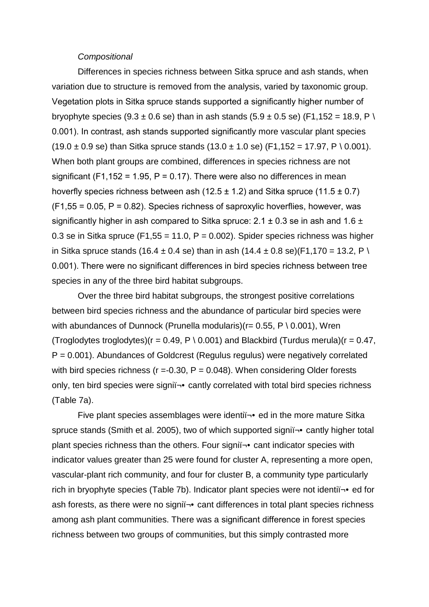#### *Compositional*

Differences in species richness between Sitka spruce and ash stands, when variation due to structure is removed from the analysis, varied by taxonomic group. Vegetation plots in Sitka spruce stands supported a significantly higher number of bryophyte species (9.3  $\pm$  0.6 se) than in ash stands (5.9  $\pm$  0.5 se) (F1,152 = 18.9, P \ 0.001). In contrast, ash stands supported significantly more vascular plant species  $(19.0 \pm 0.9 \text{ se})$  than Sitka spruce stands  $(13.0 \pm 1.0 \text{ se})$  (F1,152 = 17.97, P \ 0.001). When both plant groups are combined, differences in species richness are not significant (F1,152 = 1.95, P = 0.17). There were also no differences in mean hoverfly species richness between ash (12.5  $\pm$  1.2) and Sitka spruce (11.5  $\pm$  0.7)  $(F1,55 = 0.05, P = 0.82)$ . Species richness of saproxylic hoverflies, however, was significantly higher in ash compared to Sitka spruce:  $2.1 \pm 0.3$  se in ash and  $1.6 \pm 1.6$ 0.3 se in Sitka spruce (F1,55 = 11.0,  $P = 0.002$ ). Spider species richness was higher in Sitka spruce stands (16.4  $\pm$  0.4 se) than in ash (14.4  $\pm$  0.8 se)(F1,170 = 13.2, P \ 0.001). There were no significant differences in bird species richness between tree species in any of the three bird habitat subgroups.

Over the three bird habitat subgroups, the strongest positive correlations between bird species richness and the abundance of particular bird species were with abundances of Dunnock (Prunella modularis)( $r= 0.55$ , P \ 0.001), Wren (Troglodytes troglodytes)( $r = 0.49$ , P \ 0.001) and Blackbird (Turdus merula)( $r = 0.47$ ,  $P = 0.001$ ). Abundances of Goldcrest (Regulus regulus) were negatively correlated with bird species richness ( $r = -0.30$ ,  $P = 0.048$ ). When considering Older forests only, ten bird species were signiﬕ cantly correlated with total bird species richness (Table 7a).

Five plant species assemblages were identiﬕ ed in the more mature Sitka spruce stands (Smith et al. 2005), two of which supported signin→• cantly higher total plant species richness than the others. Four signin→ cant indicator species with indicator values greater than 25 were found for cluster A, representing a more open, vascular-plant rich community, and four for cluster B, a community type particularly rich in bryophyte species (Table 7b). Indicator plant species were not identiﬕ ed for ash forests, as there were no signing cant differences in total plant species richness among ash plant communities. There was a significant difference in forest species richness between two groups of communities, but this simply contrasted more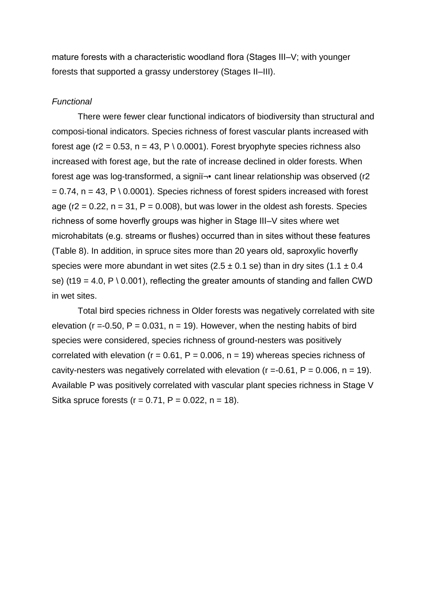mature forests with a characteristic woodland flora (Stages III–V; with younger forests that supported a grassy understorey (Stages II–III).

## *Functional*

There were fewer clear functional indicators of biodiversity than structural and composi-tional indicators. Species richness of forest vascular plants increased with forest age (r2 = 0.53, n = 43, P \ 0.0001). Forest bryophyte species richness also increased with forest age, but the rate of increase declined in older forests. When forest age was log-transformed, a signi $\rightarrow$  cant linear relationship was observed (r2  $= 0.74$ , n = 43, P \ 0.0001). Species richness of forest spiders increased with forest age ( $r2 = 0.22$ ,  $n = 31$ ,  $P = 0.008$ ), but was lower in the oldest ash forests. Species richness of some hoverfly groups was higher in Stage III–V sites where wet microhabitats (e.g. streams or flushes) occurred than in sites without these features (Table 8). In addition, in spruce sites more than 20 years old, saproxylic hoverfly species were more abundant in wet sites (2.5  $\pm$  0.1 se) than in dry sites (1.1  $\pm$  0.4 se) (t19 = 4.0,  $P \setminus 0.001$ ), reflecting the greater amounts of standing and fallen CWD in wet sites.

Total bird species richness in Older forests was negatively correlated with site elevation ( $r = -0.50$ ,  $P = 0.031$ ,  $n = 19$ ). However, when the nesting habits of bird species were considered, species richness of ground-nesters was positively correlated with elevation ( $r = 0.61$ ,  $P = 0.006$ ,  $n = 19$ ) whereas species richness of cavity-nesters was negatively correlated with elevation ( $r = -0.61$ ,  $P = 0.006$ ,  $n = 19$ ). Available P was positively correlated with vascular plant species richness in Stage V Sitka spruce forests ( $r = 0.71$ ,  $P = 0.022$ ,  $n = 18$ ).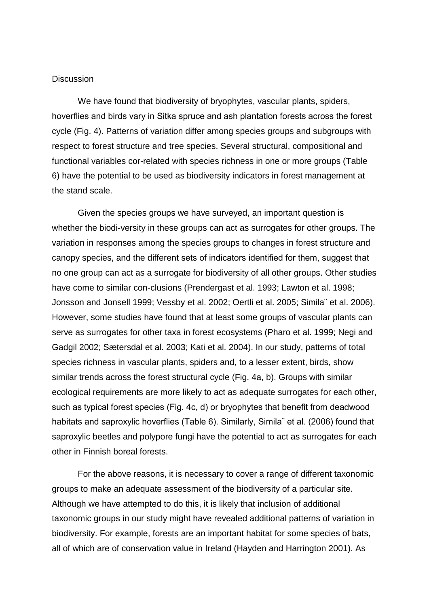#### **Discussion**

We have found that biodiversity of bryophytes, vascular plants, spiders, hoverflies and birds vary in Sitka spruce and ash plantation forests across the forest cycle (Fig. 4). Patterns of variation differ among species groups and subgroups with respect to forest structure and tree species. Several structural, compositional and functional variables cor-related with species richness in one or more groups (Table 6) have the potential to be used as biodiversity indicators in forest management at the stand scale.

Given the species groups we have surveyed, an important question is whether the biodi-versity in these groups can act as surrogates for other groups. The variation in responses among the species groups to changes in forest structure and canopy species, and the different sets of indicators identified for them, suggest that no one group can act as a surrogate for biodiversity of all other groups. Other studies have come to similar con-clusions (Prendergast et al. 1993; Lawton et al. 1998; Jonsson and Jonsell 1999; Vessby et al. 2002; Oertli et al. 2005; Simila¨ et al. 2006). However, some studies have found that at least some groups of vascular plants can serve as surrogates for other taxa in forest ecosystems (Pharo et al. 1999; Negi and Gadgil 2002; Sætersdal et al. 2003; Kati et al. 2004). In our study, patterns of total species richness in vascular plants, spiders and, to a lesser extent, birds, show similar trends across the forest structural cycle (Fig. 4a, b). Groups with similar ecological requirements are more likely to act as adequate surrogates for each other, such as typical forest species (Fig. 4c, d) or bryophytes that benefit from deadwood habitats and saproxylic hoverflies (Table 6). Similarly, Simila" et al. (2006) found that saproxylic beetles and polypore fungi have the potential to act as surrogates for each other in Finnish boreal forests.

For the above reasons, it is necessary to cover a range of different taxonomic groups to make an adequate assessment of the biodiversity of a particular site. Although we have attempted to do this, it is likely that inclusion of additional taxonomic groups in our study might have revealed additional patterns of variation in biodiversity. For example, forests are an important habitat for some species of bats, all of which are of conservation value in Ireland (Hayden and Harrington 2001). As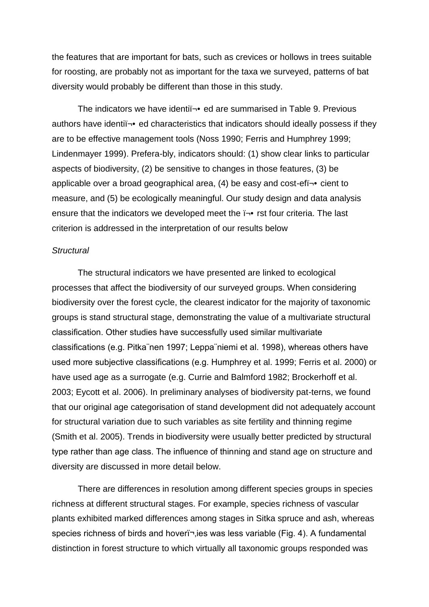the features that are important for bats, such as crevices or hollows in trees suitable for roosting, are probably not as important for the taxa we surveyed, patterns of bat diversity would probably be different than those in this study.

The indicators we have identi<del>n</del>• ed are summarised in Table 9. Previous authors have identi →• ed characteristics that indicators should ideally possess if they are to be effective management tools (Noss 1990; Ferris and Humphrey 1999; Lindenmayer 1999). Prefera-bly, indicators should: (1) show clear links to particular aspects of biodiversity, (2) be sensitive to changes in those features, (3) be applicable over a broad geographical area,  $(4)$  be easy and cost-ef $\rightarrow$  cient to measure, and (5) be ecologically meaningful. Our study design and data analysis ensure that the indicators we developed meet the i¥ rst four criteria. The last criterion is addressed in the interpretation of our results below

## *Structural*

The structural indicators we have presented are linked to ecological processes that affect the biodiversity of our surveyed groups. When considering biodiversity over the forest cycle, the clearest indicator for the majority of taxonomic groups is stand structural stage, demonstrating the value of a multivariate structural classification. Other studies have successfully used similar multivariate classifications (e.g. Pitka¨nen 1997; Leppa¨niemi et al. 1998), whereas others have used more subjective classifications (e.g. Humphrey et al. 1999; Ferris et al. 2000) or have used age as a surrogate (e.g. Currie and Balmford 1982; Brockerhoff et al. 2003; Eycott et al. 2006). In preliminary analyses of biodiversity pat-terns, we found that our original age categorisation of stand development did not adequately account for structural variation due to such variables as site fertility and thinning regime (Smith et al. 2005). Trends in biodiversity were usually better predicted by structural type rather than age class. The influence of thinning and stand age on structure and diversity are discussed in more detail below.

There are differences in resolution among different species groups in species richness at different structural stages. For example, species richness of vascular plants exhibited marked differences among stages in Sitka spruce and ash, whereas species richness of birds and hover rigities was less variable (Fig. 4). A fundamental distinction in forest structure to which virtually all taxonomic groups responded was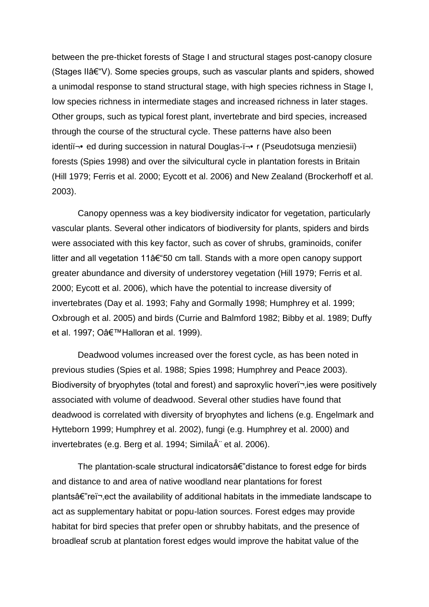between the pre-thicket forests of Stage I and structural stages post-canopy closure (Stages II $A \in V$ ). Some species groups, such as vascular plants and spiders, showed a unimodal response to stand structural stage, with high species richness in Stage I, low species richness in intermediate stages and increased richness in later stages. Other groups, such as typical forest plant, invertebrate and bird species, increased through the course of the structural cycle. These patterns have also been identi →• ed during succession in natural Douglas- →• r (Pseudotsuga menziesii) forests (Spies 1998) and over the silvicultural cycle in plantation forests in Britain (Hill 1979; Ferris et al. 2000; Eycott et al. 2006) and New Zealand (Brockerhoff et al. 2003).

Canopy openness was a key biodiversity indicator for vegetation, particularly vascular plants. Several other indicators of biodiversity for plants, spiders and birds were associated with this key factor, such as cover of shrubs, graminoids, conifer litter and all vegetation 11 $a \in 50$  cm tall. Stands with a more open canopy support greater abundance and diversity of understorey vegetation (Hill 1979; Ferris et al. 2000; Eycott et al. 2006), which have the potential to increase diversity of invertebrates (Day et al. 1993; Fahy and Gormally 1998; Humphrey et al. 1999; Oxbrough et al. 2005) and birds (Currie and Balmford 1982; Bibby et al. 1989; Duffy et al. 1997; O'Halloran et al. 1999).

Deadwood volumes increased over the forest cycle, as has been noted in previous studies (Spies et al. 1988; Spies 1998; Humphrey and Peace 2003). Biodiversity of bryophytes (total and forest) and saproxylic hover  $\bar{\mathbf{r}}$  ies were positively associated with volume of deadwood. Several other studies have found that deadwood is correlated with diversity of bryophytes and lichens (e.g. Engelmark and Hytteborn 1999; Humphrey et al. 2002), fungi (e.g. Humphrey et al. 2000) and invertebrates (e.g. Berg et al. 1994; Simila et al. 2006).

The plantation-scale structural indicators $\hat{a} \in \hat{a}$  distance to forest edge for birds and distance to and area of native woodland near plantations for forest plants $a \in \mathbb{R}$  ect the availability of additional habitats in the immediate landscape to act as supplementary habitat or popu-lation sources. Forest edges may provide habitat for bird species that prefer open or shrubby habitats, and the presence of broadleaf scrub at plantation forest edges would improve the habitat value of the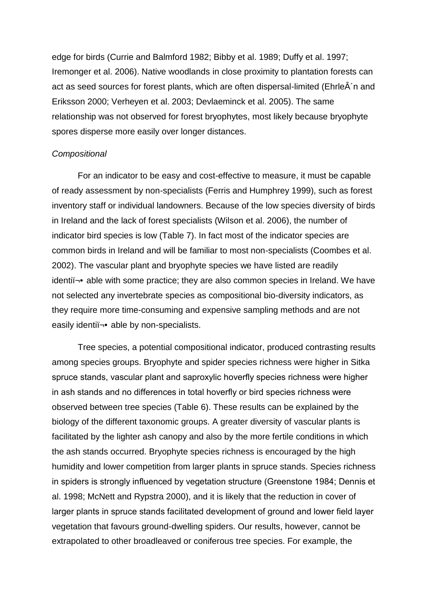edge for birds (Currie and Balmford 1982; Bibby et al. 1989; Duffy et al. 1997; Iremonger et al. 2006). Native woodlands in close proximity to plantation forests can act as seed sources for forest plants, which are often dispersal-limited (EhrleÂ'n and Eriksson 2000; Verheyen et al. 2003; Devlaeminck et al. 2005). The same relationship was not observed for forest bryophytes, most likely because bryophyte spores disperse more easily over longer distances.

## *Compositional*

For an indicator to be easy and cost-effective to measure, it must be capable of ready assessment by non-specialists (Ferris and Humphrey 1999), such as forest inventory staff or individual landowners. Because of the low species diversity of birds in Ireland and the lack of forest specialists (Wilson et al. 2006), the number of indicator bird species is low (Table 7). In fact most of the indicator species are common birds in Ireland and will be familiar to most non-specialists (Coombes et al. 2002). The vascular plant and bryophyte species we have listed are readily identiﬕ able with some practice; they are also common species in Ireland. We have not selected any invertebrate species as compositional bio-diversity indicators, as they require more time-consuming and expensive sampling methods and are not easily identiﬕ able by non-specialists.

Tree species, a potential compositional indicator, produced contrasting results among species groups. Bryophyte and spider species richness were higher in Sitka spruce stands, vascular plant and saproxylic hoverfly species richness were higher in ash stands and no differences in total hoverfly or bird species richness were observed between tree species (Table 6). These results can be explained by the biology of the different taxonomic groups. A greater diversity of vascular plants is facilitated by the lighter ash canopy and also by the more fertile conditions in which the ash stands occurred. Bryophyte species richness is encouraged by the high humidity and lower competition from larger plants in spruce stands. Species richness in spiders is strongly influenced by vegetation structure (Greenstone 1984; Dennis et al. 1998; McNett and Rypstra 2000), and it is likely that the reduction in cover of larger plants in spruce stands facilitated development of ground and lower field layer vegetation that favours ground-dwelling spiders. Our results, however, cannot be extrapolated to other broadleaved or coniferous tree species. For example, the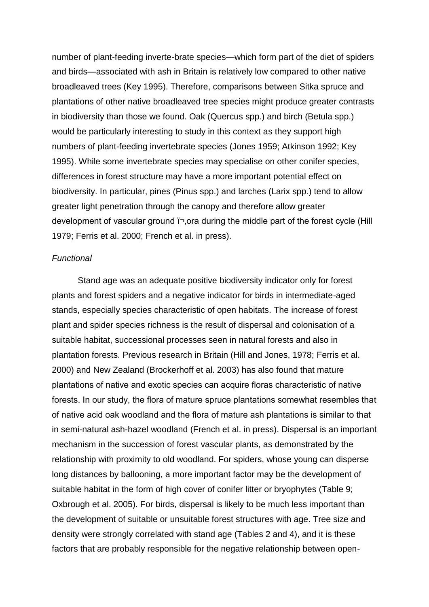number of plant-feeding inverte-brate species—which form part of the diet of spiders and birds—associated with ash in Britain is relatively low compared to other native broadleaved trees (Key 1995). Therefore, comparisons between Sitka spruce and plantations of other native broadleaved tree species might produce greater contrasts in biodiversity than those we found. Oak (Quercus spp.) and birch (Betula spp.) would be particularly interesting to study in this context as they support high numbers of plant-feeding invertebrate species (Jones 1959; Atkinson 1992; Key 1995). While some invertebrate species may specialise on other conifer species, differences in forest structure may have a more important potential effect on biodiversity. In particular, pines (Pinus spp.) and larches (Larix spp.) tend to allow greater light penetration through the canopy and therefore allow greater development of vascular ground i-, ora during the middle part of the forest cycle (Hill 1979; Ferris et al. 2000; French et al. in press).

## *Functional*

Stand age was an adequate positive biodiversity indicator only for forest plants and forest spiders and a negative indicator for birds in intermediate-aged stands, especially species characteristic of open habitats. The increase of forest plant and spider species richness is the result of dispersal and colonisation of a suitable habitat, successional processes seen in natural forests and also in plantation forests. Previous research in Britain (Hill and Jones, 1978; Ferris et al. 2000) and New Zealand (Brockerhoff et al. 2003) has also found that mature plantations of native and exotic species can acquire floras characteristic of native forests. In our study, the flora of mature spruce plantations somewhat resembles that of native acid oak woodland and the flora of mature ash plantations is similar to that in semi-natural ash-hazel woodland (French et al. in press). Dispersal is an important mechanism in the succession of forest vascular plants, as demonstrated by the relationship with proximity to old woodland. For spiders, whose young can disperse long distances by ballooning, a more important factor may be the development of suitable habitat in the form of high cover of conifer litter or bryophytes (Table 9; Oxbrough et al. 2005). For birds, dispersal is likely to be much less important than the development of suitable or unsuitable forest structures with age. Tree size and density were strongly correlated with stand age (Tables 2 and 4), and it is these factors that are probably responsible for the negative relationship between open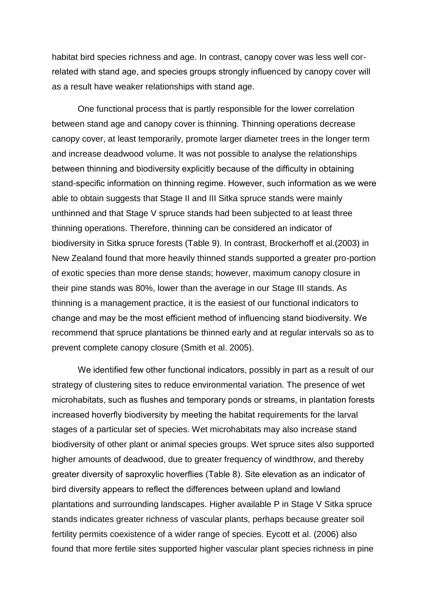habitat bird species richness and age. In contrast, canopy cover was less well correlated with stand age, and species groups strongly influenced by canopy cover will as a result have weaker relationships with stand age.

One functional process that is partly responsible for the lower correlation between stand age and canopy cover is thinning. Thinning operations decrease canopy cover, at least temporarily, promote larger diameter trees in the longer term and increase deadwood volume. It was not possible to analyse the relationships between thinning and biodiversity explicitly because of the difficulty in obtaining stand-specific information on thinning regime. However, such information as we were able to obtain suggests that Stage II and III Sitka spruce stands were mainly unthinned and that Stage V spruce stands had been subjected to at least three thinning operations. Therefore, thinning can be considered an indicator of biodiversity in Sitka spruce forests (Table 9). In contrast, Brockerhoff et al.(2003) in New Zealand found that more heavily thinned stands supported a greater pro-portion of exotic species than more dense stands; however, maximum canopy closure in their pine stands was 80%, lower than the average in our Stage III stands. As thinning is a management practice, it is the easiest of our functional indicators to change and may be the most efficient method of influencing stand biodiversity. We recommend that spruce plantations be thinned early and at regular intervals so as to prevent complete canopy closure (Smith et al. 2005).

We identified few other functional indicators, possibly in part as a result of our strategy of clustering sites to reduce environmental variation. The presence of wet microhabitats, such as flushes and temporary ponds or streams, in plantation forests increased hoverfly biodiversity by meeting the habitat requirements for the larval stages of a particular set of species. Wet microhabitats may also increase stand biodiversity of other plant or animal species groups. Wet spruce sites also supported higher amounts of deadwood, due to greater frequency of windthrow, and thereby greater diversity of saproxylic hoverflies (Table 8). Site elevation as an indicator of bird diversity appears to reflect the differences between upland and lowland plantations and surrounding landscapes. Higher available P in Stage V Sitka spruce stands indicates greater richness of vascular plants, perhaps because greater soil fertility permits coexistence of a wider range of species. Eycott et al. (2006) also found that more fertile sites supported higher vascular plant species richness in pine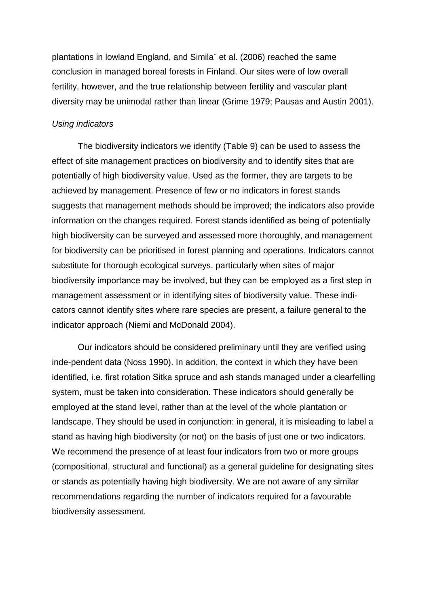plantations in lowland England, and Simila¨ et al. (2006) reached the same conclusion in managed boreal forests in Finland. Our sites were of low overall fertility, however, and the true relationship between fertility and vascular plant diversity may be unimodal rather than linear (Grime 1979; Pausas and Austin 2001).

# *Using indicators*

The biodiversity indicators we identify (Table 9) can be used to assess the effect of site management practices on biodiversity and to identify sites that are potentially of high biodiversity value. Used as the former, they are targets to be achieved by management. Presence of few or no indicators in forest stands suggests that management methods should be improved; the indicators also provide information on the changes required. Forest stands identified as being of potentially high biodiversity can be surveyed and assessed more thoroughly, and management for biodiversity can be prioritised in forest planning and operations. Indicators cannot substitute for thorough ecological surveys, particularly when sites of major biodiversity importance may be involved, but they can be employed as a first step in management assessment or in identifying sites of biodiversity value. These indicators cannot identify sites where rare species are present, a failure general to the indicator approach (Niemi and McDonald 2004).

Our indicators should be considered preliminary until they are verified using inde-pendent data (Noss 1990). In addition, the context in which they have been identified, i.e. first rotation Sitka spruce and ash stands managed under a clearfelling system, must be taken into consideration. These indicators should generally be employed at the stand level, rather than at the level of the whole plantation or landscape. They should be used in conjunction: in general, it is misleading to label a stand as having high biodiversity (or not) on the basis of just one or two indicators. We recommend the presence of at least four indicators from two or more groups (compositional, structural and functional) as a general guideline for designating sites or stands as potentially having high biodiversity. We are not aware of any similar recommendations regarding the number of indicators required for a favourable biodiversity assessment.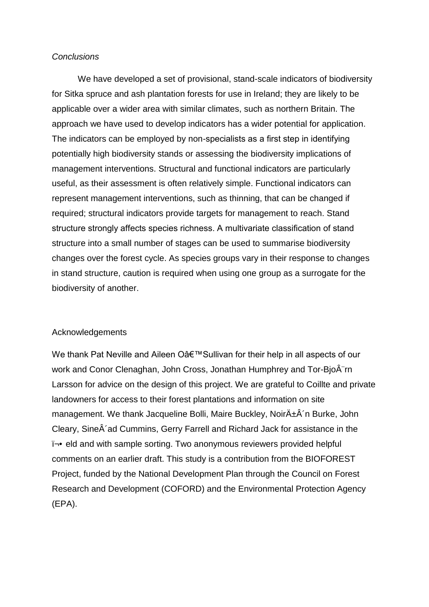## *Conclusions*

We have developed a set of provisional, stand-scale indicators of biodiversity for Sitka spruce and ash plantation forests for use in Ireland; they are likely to be applicable over a wider area with similar climates, such as northern Britain. The approach we have used to develop indicators has a wider potential for application. The indicators can be employed by non-specialists as a first step in identifying potentially high biodiversity stands or assessing the biodiversity implications of management interventions. Structural and functional indicators are particularly useful, as their assessment is often relatively simple. Functional indicators can represent management interventions, such as thinning, that can be changed if required; structural indicators provide targets for management to reach. Stand structure strongly affects species richness. A multivariate classification of stand structure into a small number of stages can be used to summarise biodiversity changes over the forest cycle. As species groups vary in their response to changes in stand structure, caution is required when using one group as a surrogate for the biodiversity of another.

## **Acknowledgements**

We thank Pat Neville and Aileen O'Sullivan for their help in all aspects of our work and Conor Clenaghan, John Cross, Jonathan Humphrey and Tor-Bio rn Larsson for advice on the design of this project. We are grateful to Coillte and private landowners for access to their forest plantations and information on site management. We thank Jacqueline Bolli, Maire Buckley, NoirıÂ'n Burke, John Cleary, SineÂ<sup>'</sup> ad Cummins, Gerry Farrell and Richard Jack for assistance in the i→ eld and with sample sorting. Two anonymous reviewers provided helpful comments on an earlier draft. This study is a contribution from the BIOFOREST Project, funded by the National Development Plan through the Council on Forest Research and Development (COFORD) and the Environmental Protection Agency (EPA).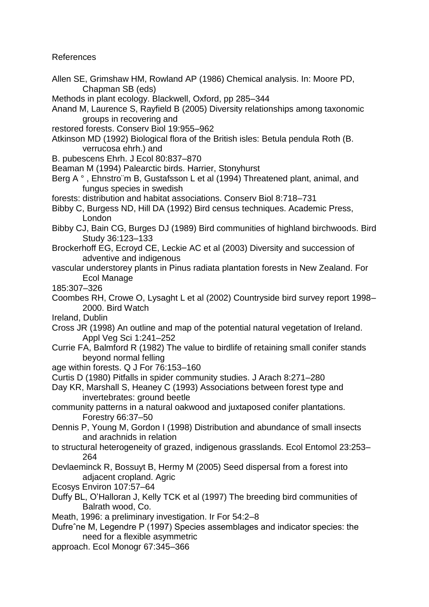References

Allen SE, Grimshaw HM, Rowland AP (1986) Chemical analysis. In: Moore PD, Chapman SB (eds) Methods in plant ecology. Blackwell, Oxford, pp 285–344 Anand M, Laurence S, Rayfield B (2005) Diversity relationships among taxonomic groups in recovering and restored forests. Conserv Biol 19:955–962 Atkinson MD (1992) Biological flora of the British isles: Betula pendula Roth (B. verrucosa ehrh.) and B. pubescens Ehrh. J Ecol 80:837–870 Beaman M (1994) Palearctic birds. Harrier, Stonyhurst Berg A<sup>°</sup>, Ehnstro m B, Gustafsson L et al (1994) Threatened plant, animal, and fungus species in swedish forests: distribution and habitat associations. Conserv Biol 8:718–731 Bibby C, Burgess ND, Hill DA (1992) Bird census techniques. Academic Press, London Bibby CJ, Bain CG, Burges DJ (1989) Bird communities of highland birchwoods. Bird Study 36:123–133 Brockerhoff EG, Ecroyd CE, Leckie AC et al (2003) Diversity and succession of adventive and indigenous vascular understorey plants in Pinus radiata plantation forests in New Zealand. For Ecol Manage 185:307–326 Coombes RH, Crowe O, Lysaght L et al (2002) Countryside bird survey report 1998– 2000. Bird Watch Ireland, Dublin Cross JR (1998) An outline and map of the potential natural vegetation of Ireland. Appl Veg Sci 1:241–252 Currie FA, Balmford R (1982) The value to birdlife of retaining small conifer stands beyond normal felling age within forests. Q J For 76:153–160 Curtis D (1980) Pitfalls in spider community studies. J Arach 8:271–280 Day KR, Marshall S, Heaney C (1993) Associations between forest type and invertebrates: ground beetle community patterns in a natural oakwood and juxtaposed conifer plantations. Forestry 66:37–50 Dennis P, Young M, Gordon I (1998) Distribution and abundance of small insects and arachnids in relation to structural heterogeneity of grazed, indigenous grasslands. Ecol Entomol 23:253– 264 Devlaeminck R, Bossuyt B, Hermy M (2005) Seed dispersal from a forest into adjacent cropland. Agric Ecosys Environ 107:57–64 Duffy BL, O'Halloran J, Kelly TCK et al (1997) The breeding bird communities of Balrath wood, Co. Meath, 1996: a preliminary investigation. Ir For 54:2–8 Dufreˆne M, Legendre P (1997) Species assemblages and indicator species: the need for a flexible asymmetric approach. Ecol Monogr 67:345–366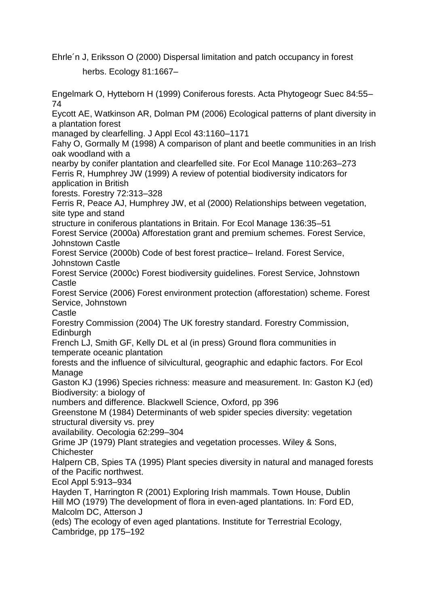Ehrle´n J, Eriksson O (2000) Dispersal limitation and patch occupancy in forest

herbs. Ecology 81:1667–

Engelmark O, Hytteborn H (1999) Coniferous forests. Acta Phytogeogr Suec 84:55– 74

Eycott AE, Watkinson AR, Dolman PM (2006) Ecological patterns of plant diversity in a plantation forest

managed by clearfelling. J Appl Ecol 43:1160–1171

Fahy O, Gormally M (1998) A comparison of plant and beetle communities in an Irish oak woodland with a

nearby by conifer plantation and clearfelled site. For Ecol Manage 110:263–273 Ferris R, Humphrey JW (1999) A review of potential biodiversity indicators for application in British

forests. Forestry 72:313–328

Ferris R, Peace AJ, Humphrey JW, et al (2000) Relationships between vegetation, site type and stand

structure in coniferous plantations in Britain. For Ecol Manage 136:35–51

Forest Service (2000a) Afforestation grant and premium schemes. Forest Service, Johnstown Castle

Forest Service (2000b) Code of best forest practice– Ireland. Forest Service, Johnstown Castle

Forest Service (2000c) Forest biodiversity guidelines. Forest Service, Johnstown **Castle** 

Forest Service (2006) Forest environment protection (afforestation) scheme. Forest Service, Johnstown

Castle

Forestry Commission (2004) The UK forestry standard. Forestry Commission, Edinburgh

French LJ, Smith GF, Kelly DL et al (in press) Ground flora communities in temperate oceanic plantation

forests and the influence of silvicultural, geographic and edaphic factors. For Ecol Manage

Gaston KJ (1996) Species richness: measure and measurement. In: Gaston KJ (ed) Biodiversity: a biology of

numbers and difference. Blackwell Science, Oxford, pp 396

Greenstone M (1984) Determinants of web spider species diversity: vegetation structural diversity vs. prey

availability. Oecologia 62:299–304

Grime JP (1979) Plant strategies and vegetation processes. Wiley & Sons, **Chichester** 

Halpern CB, Spies TA (1995) Plant species diversity in natural and managed forests of the Pacific northwest.

Ecol Appl 5:913–934

Hayden T, Harrington R (2001) Exploring Irish mammals. Town House, Dublin Hill MO (1979) The development of flora in even-aged plantations. In: Ford ED, Malcolm DC, Atterson J

(eds) The ecology of even aged plantations. Institute for Terrestrial Ecology, Cambridge, pp 175–192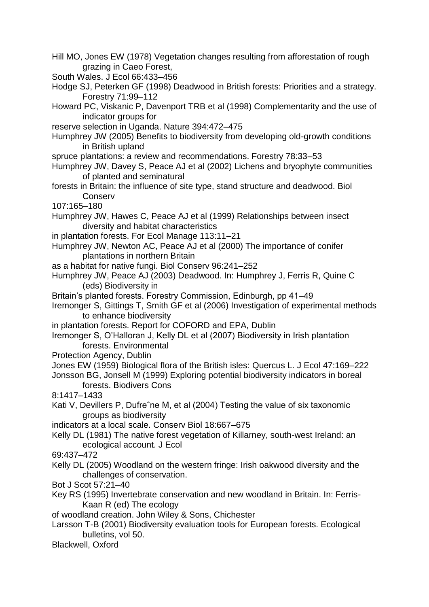- Hill MO, Jones EW (1978) Vegetation changes resulting from afforestation of rough grazing in Caeo Forest,
- South Wales. J Ecol 66:433–456
- Hodge SJ, Peterken GF (1998) Deadwood in British forests: Priorities and a strategy. Forestry 71:99–112
- Howard PC, Viskanic P, Davenport TRB et al (1998) Complementarity and the use of indicator groups for
- reserve selection in Uganda. Nature 394:472–475
- Humphrey JW (2005) Benefits to biodiversity from developing old-growth conditions in British upland
- spruce plantations: a review and recommendations. Forestry 78:33–53
- Humphrey JW, Davey S, Peace AJ et al (2002) Lichens and bryophyte communities of planted and seminatural
- forests in Britain: the influence of site type, stand structure and deadwood. Biol **Conserv**
- 107:165–180
- Humphrey JW, Hawes C, Peace AJ et al (1999) Relationships between insect diversity and habitat characteristics
- in plantation forests. For Ecol Manage 113:11–21
- Humphrey JW, Newton AC, Peace AJ et al (2000) The importance of conifer plantations in northern Britain
- as a habitat for native fungi. Biol Conserv 96:241–252
- Humphrey JW, Peace AJ (2003) Deadwood. In: Humphrey J, Ferris R, Quine C (eds) Biodiversity in
- Britain's planted forests. Forestry Commission, Edinburgh, pp 41–49
- Iremonger S, Gittings T, Smith GF et al (2006) Investigation of experimental methods to enhance biodiversity
- in plantation forests. Report for COFORD and EPA, Dublin
- Iremonger S, O'Halloran J, Kelly DL et al (2007) Biodiversity in Irish plantation forests. Environmental
- Protection Agency, Dublin
- Jones EW (1959) Biological flora of the British isles: Quercus L. J Ecol 47:169–222 Jonsson BG, Jonsell M (1999) Exploring potential biodiversity indicators in boreal
	- forests. Biodivers Cons
- 8:1417–1433
- Kati V, Devillers P, Dufreˆne M, et al (2004) Testing the value of six taxonomic groups as biodiversity
- indicators at a local scale. Conserv Biol 18:667–675
- Kelly DL (1981) The native forest vegetation of Killarney, south-west Ireland: an ecological account. J Ecol
- 69:437–472
- Kelly DL (2005) Woodland on the western fringe: Irish oakwood diversity and the challenges of conservation.
- Bot J Scot 57:21–40
- Key RS (1995) Invertebrate conservation and new woodland in Britain. In: Ferris-Kaan R (ed) The ecology
- of woodland creation. John Wiley & Sons, Chichester
- Larsson T-B (2001) Biodiversity evaluation tools for European forests. Ecological bulletins, vol 50.
- Blackwell, Oxford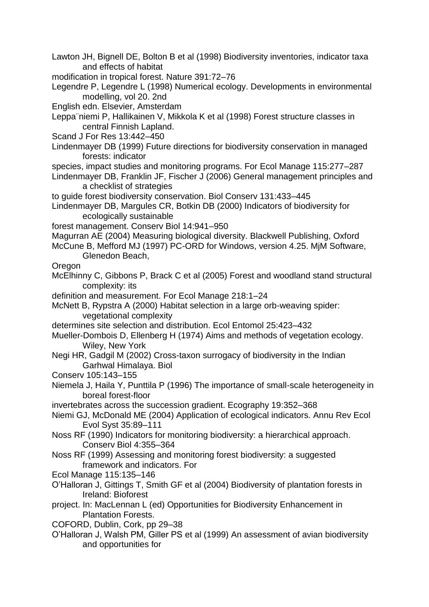- Lawton JH, Bignell DE, Bolton B et al (1998) Biodiversity inventories, indicator taxa and effects of habitat
- modification in tropical forest. Nature 391:72–76
- Legendre P, Legendre L (1998) Numerical ecology. Developments in environmental modelling, vol 20. 2nd
- English edn. Elsevier, Amsterdam
- Leppa¨niemi P, Hallikainen V, Mikkola K et al (1998) Forest structure classes in central Finnish Lapland.
- Scand J For Res 13:442–450
- Lindenmayer DB (1999) Future directions for biodiversity conservation in managed forests: indicator
- species, impact studies and monitoring programs. For Ecol Manage 115:277–287
- Lindenmayer DB, Franklin JF, Fischer J (2006) General management principles and a checklist of strategies
- to guide forest biodiversity conservation. Biol Conserv 131:433–445
- Lindenmayer DB, Margules CR, Botkin DB (2000) Indicators of biodiversity for ecologically sustainable
- forest management. Conserv Biol 14:941–950
- Magurran AE (2004) Measuring biological diversity. Blackwell Publishing, Oxford
- McCune B, Mefford MJ (1997) PC-ORD for Windows, version 4.25. MjM Software, Glenedon Beach,

# **Oregon**

- McElhinny C, Gibbons P, Brack C et al (2005) Forest and woodland stand structural complexity: its
- definition and measurement. For Ecol Manage 218:1–24
- McNett B, Rypstra A (2000) Habitat selection in a large orb-weaving spider: vegetational complexity
- determines site selection and distribution. Ecol Entomol 25:423–432
- Mueller-Dombois D, Ellenberg H (1974) Aims and methods of vegetation ecology. Wiley, New York
- Negi HR, Gadgil M (2002) Cross-taxon surrogacy of biodiversity in the Indian Garhwal Himalaya. Biol
- Conserv 105:143–155
- Niemela J, Haila Y, Punttila P (1996) The importance of small-scale heterogeneity in boreal forest-floor
- invertebrates across the succession gradient. Ecography 19:352–368
- Niemi GJ, McDonald ME (2004) Application of ecological indicators. Annu Rev Ecol Evol Syst 35:89–111
- Noss RF (1990) Indicators for monitoring biodiversity: a hierarchical approach. Conserv Biol 4:355–364
- Noss RF (1999) Assessing and monitoring forest biodiversity: a suggested framework and indicators. For
- Ecol Manage 115:135–146
- O'Halloran J, Gittings T, Smith GF et al (2004) Biodiversity of plantation forests in Ireland: Bioforest
- project. In: MacLennan L (ed) Opportunities for Biodiversity Enhancement in Plantation Forests.
- COFORD, Dublin, Cork, pp 29–38
- O'Halloran J, Walsh PM, Giller PS et al (1999) An assessment of avian biodiversity and opportunities for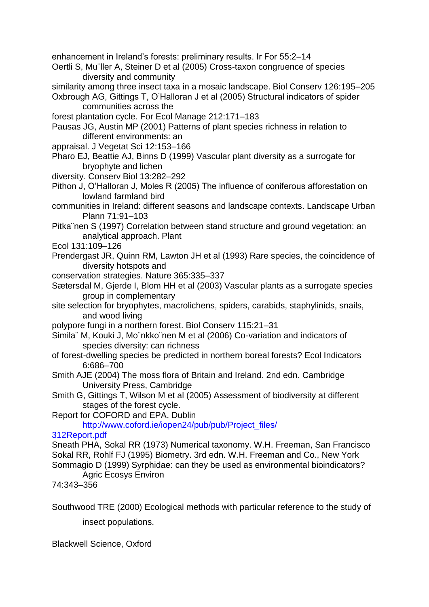enhancement in Ireland's forests: preliminary results. Ir For 55:2–14

- Oertli S, Mu¨ller A, Steiner D et al (2005) Cross-taxon congruence of species diversity and community
- similarity among three insect taxa in a mosaic landscape. Biol Conserv 126:195–205 Oxbrough AG, Gittings T, O'Halloran J et al (2005) Structural indicators of spider

communities across the

forest plantation cycle. For Ecol Manage 212:171–183

- Pausas JG, Austin MP (2001) Patterns of plant species richness in relation to different environments: an
- appraisal. J Vegetat Sci 12:153–166
- Pharo EJ, Beattie AJ, Binns D (1999) Vascular plant diversity as a surrogate for bryophyte and lichen
- diversity. Conserv Biol 13:282–292
- Pithon J, O'Halloran J, Moles R (2005) The influence of coniferous afforestation on lowland farmland bird
- communities in Ireland: different seasons and landscape contexts. Landscape Urban Plann 71:91–103
- Pitka¨nen S (1997) Correlation between stand structure and ground vegetation: an analytical approach. Plant
- Ecol 131:109–126
- Prendergast JR, Quinn RM, Lawton JH et al (1993) Rare species, the coincidence of diversity hotspots and
- conservation strategies. Nature 365:335–337
- Sætersdal M, Gjerde I, Blom HH et al (2003) Vascular plants as a surrogate species group in complementary
- site selection for bryophytes, macrolichens, spiders, carabids, staphylinids, snails, and wood living
- polypore fungi in a northern forest. Biol Conserv 115:21–31
- Simila¨ M, Kouki J, Mo¨nkko¨nen M et al (2006) Co-variation and indicators of species diversity: can richness
- of forest-dwelling species be predicted in northern boreal forests? Ecol Indicators 6:686–700
- Smith AJE (2004) The moss flora of Britain and Ireland. 2nd edn. Cambridge University Press, Cambridge
- Smith G, Gittings T, Wilson M et al (2005) Assessment of biodiversity at different stages of the forest cycle.
- Report for COFORD and EPA, Dublin

http://www.coford.ie/iopen24/pub/pub/Project\_files/

# 312Report.pdf

Sneath PHA, Sokal RR (1973) Numerical taxonomy. W.H. Freeman, San Francisco Sokal RR, Rohlf FJ (1995) Biometry. 3rd edn. W.H. Freeman and Co., New York Sommagio D (1999) Syrphidae: can they be used as environmental bioindicators?

Agric Ecosys Environ

74:343–356

Southwood TRE (2000) Ecological methods with particular reference to the study of

insect populations.

Blackwell Science, Oxford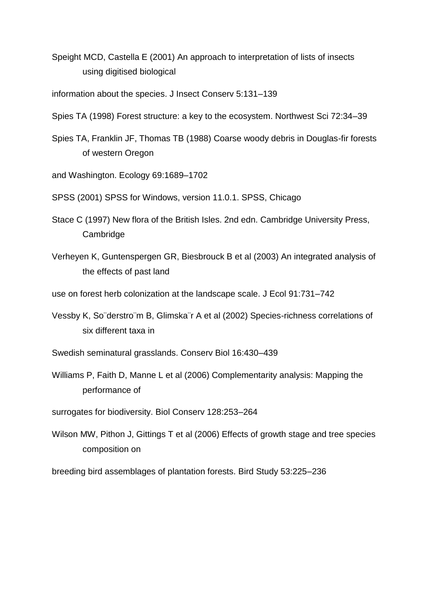- Speight MCD, Castella E (2001) An approach to interpretation of lists of insects using digitised biological
- information about the species. J Insect Conserv 5:131–139
- Spies TA (1998) Forest structure: a key to the ecosystem. Northwest Sci 72:34–39
- Spies TA, Franklin JF, Thomas TB (1988) Coarse woody debris in Douglas-fir forests of western Oregon
- and Washington. Ecology 69:1689–1702
- SPSS (2001) SPSS for Windows, version 11.0.1. SPSS, Chicago
- Stace C (1997) New flora of the British Isles. 2nd edn. Cambridge University Press, **Cambridge**
- Verheyen K, Guntenspergen GR, Biesbrouck B et al (2003) An integrated analysis of the effects of past land
- use on forest herb colonization at the landscape scale. J Ecol 91:731–742
- Vessby K, So¨derstro¨m B, Glimska¨r A et al (2002) Species-richness correlations of six different taxa in
- Swedish seminatural grasslands. Conserv Biol 16:430–439
- Williams P, Faith D, Manne L et al (2006) Complementarity analysis: Mapping the performance of
- surrogates for biodiversity. Biol Conserv 128:253–264
- Wilson MW, Pithon J, Gittings T et al (2006) Effects of growth stage and tree species composition on

breeding bird assemblages of plantation forests. Bird Study 53:225–236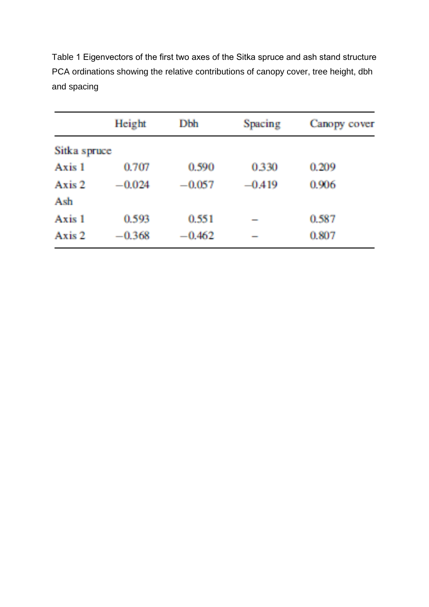Table 1 Eigenvectors of the first two axes of the Sitka spruce and ash stand structure PCA ordinations showing the relative contributions of canopy cover, tree height, dbh and spacing

|              | Height   | Dbh      | Spacing  | Canopy cover |
|--------------|----------|----------|----------|--------------|
| Sitka spruce |          |          |          |              |
| Axis 1       | 0.707    | 0.590    | 0.330    | 0.209        |
| Axis 2       | $-0.024$ | $-0.057$ | $-0.419$ | 0.906        |
| Ash          |          |          |          |              |
| Axis 1       | 0.593    | 0.551    |          | 0.587        |
| Axis 2       | $-0.368$ | $-0.462$ |          | 0.807        |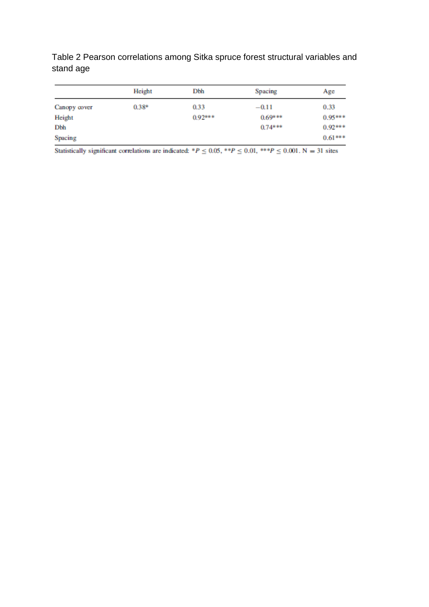Table 2 Pearson correlations among Sitka spruce forest structural variables and stand age

|              | Height  | Dbh       | Spacing   | Age       |
|--------------|---------|-----------|-----------|-----------|
| Canopy cover | $0.38*$ | 0.33      | $-0.11$   | 0.33      |
| Height       |         | $0.92***$ | $0.69***$ | $0.95***$ |
| Dbh          |         |           | $0.74***$ | $0.92***$ |
| Spacing      |         |           |           | $0.61***$ |

Statistically significant correlations are indicated: \*  $P \le 0.05$ , \*\* $P \le 0.01$ , \*\*\* $P \le 0.001$ . N = 31 sites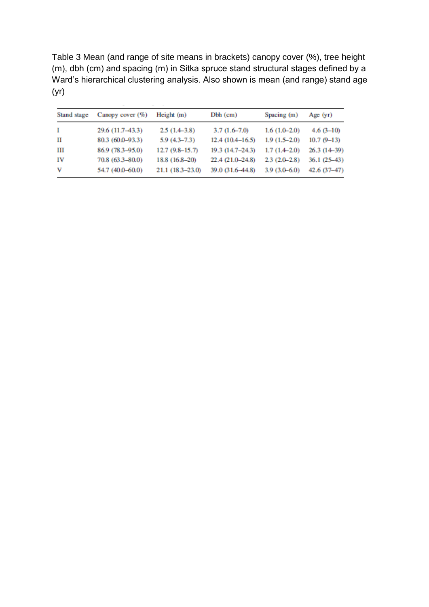Table 3 Mean (and range of site means in brackets) canopy cover (%), tree height (m), dbh (cm) and spacing (m) in Sitka spruce stand structural stages defined by a Ward's hierarchical clustering analysis. Also shown is mean (and range) stand age (yr)

| Stand stage | Canopy cover (%)    | Height(m)           | $Dbh$ (cm)          | Spacing (m)    | Age $(yr)$    |
|-------------|---------------------|---------------------|---------------------|----------------|---------------|
| Т           | 29.6 (11.7–43.3)    | $2.5(1.4-3.8)$      | $3.7(1.6-7.0)$      | $1.6(1.0-2.0)$ | $4.6(3-10)$   |
| П           | 80.3 (60.0-93.3)    | $5.9(4.3-7.3)$      | $12.4(10.4 - 16.5)$ | $1.9(1.5-2.0)$ | $10.7(9-13)$  |
| Ш           | 86.9 (78.3-95.0)    | $12.7(9.8-15.7)$    | $19.3(14.7 - 24.3)$ | $1.7(1.4-2.0)$ | $26.3(14-39)$ |
| IV          | $70.8(63.3 - 80.0)$ | 18.8 (16.8-20)      | 22.4 (21.0-24.8)    | $2.3(2.0-2.8)$ | $36.1(25-43)$ |
| v           | 54.7 (40.0-60.0)    | $21.1(18.3 - 23.0)$ | 39.0 (31.6-44.8)    | $3.9(3.0-6.0)$ | 42.6 (37-47)  |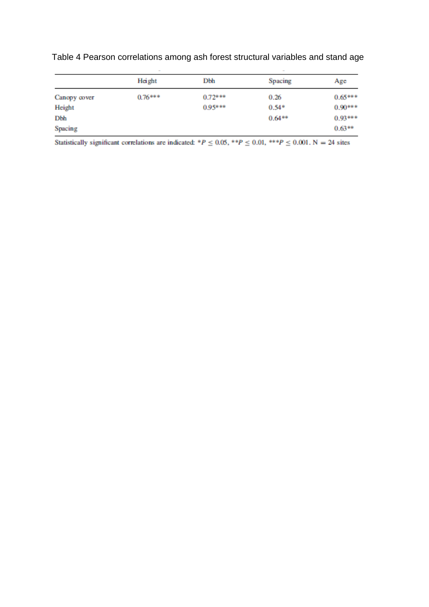|              | Height    | Dbh       | Spacing  | Age       |
|--------------|-----------|-----------|----------|-----------|
| Canopy cover | $0.76***$ | $0.72***$ | 0.26     | $0.65***$ |
| Height       |           | $0.95***$ | $0.54*$  | $0.90***$ |
| Dbh          |           |           | $0.64**$ | $0.93***$ |
| Spacing      |           |           |          | $0.63**$  |

Table 4 Pearson correlations among ash forest structural variables and stand age

Statistically significant correlations are indicated: \* $P \le 0.05$ , \*\* $P \le 0.01$ , \*\*\* $P \le 0.001$ . N = 24 sites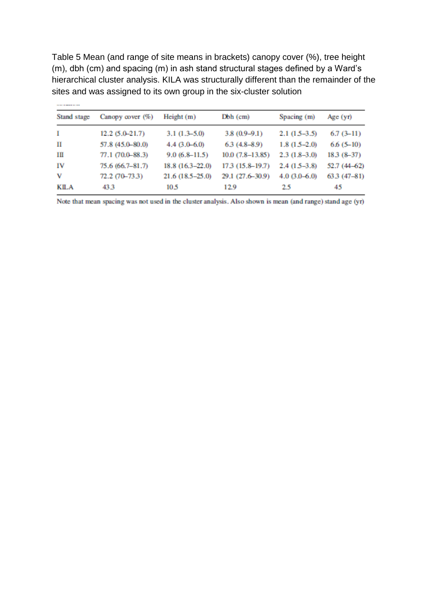Table 5 Mean (and range of site means in brackets) canopy cover (%), tree height (m), dbh (cm) and spacing (m) in ash stand structural stages defined by a Ward's hierarchical cluster analysis. KILA was structurally different than the remainder of the sites and was assigned to its own group in the six-cluster solution

| Stand stage | Canopy cover $(\%)$ | Height(m)         | $Dbh$ (cm)        | Spacing (m)    | Age $(yr)$      |
|-------------|---------------------|-------------------|-------------------|----------------|-----------------|
|             | $12.2(5.0-21.7)$    | $3.1(1.3-5.0)$    | $3.8(0.9-9.1)$    | $2.1(1.5-3.5)$ | $6.7(3-11)$     |
| П           | 57.8 (45.0-80.0)    | $4.4(3.0-6.0)$    | $6.3(4.8 - 8.9)$  | $1.8(1.5-2.0)$ | $6.6(5-10)$     |
| Ш           | 77.1 (70.0-88.3)    | $9.0(6.8-11.5)$   | $10.0(7.8-13.85)$ | $2.3(1.8-3.0)$ | $18.3(8-37)$    |
| IV          | 75.6 (66.7-81.7)    | $18.8(16.3-22.0)$ | 17.3 (15.8-19.7)  | $2.4(1.5-3.8)$ | $52.7(44-62)$   |
| v           | $72.2 (70 - 73.3)$  | $21.6(18.5-25.0)$ | 29.1 (27.6-30.9)  | $4.0(3.0-6.0)$ | $63.3(47 - 81)$ |
| <b>KILA</b> | 43.3                | 10.5              | 12.9              | 2.5            | 45              |

Note that mean spacing was not used in the cluster analysis. Also shown is mean (and range) stand age (yr)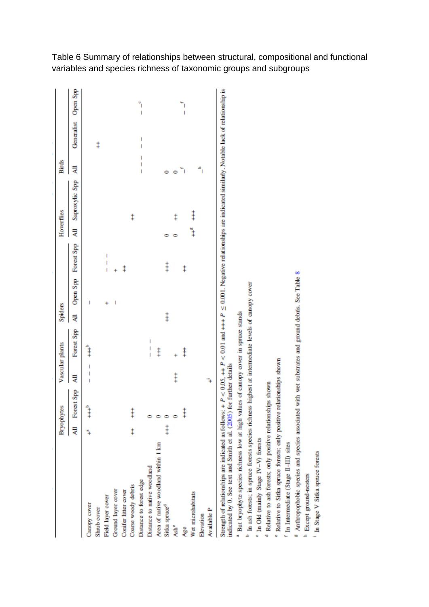|                                                                                                                                                                                                                                                                  |   | <b>Bryophytes</b> | Vascular plants |               | Spiders |   |                     | Hoverflies |                | Birds  |                     |                      |
|------------------------------------------------------------------------------------------------------------------------------------------------------------------------------------------------------------------------------------------------------------------|---|-------------------|-----------------|---------------|---------|---|---------------------|------------|----------------|--------|---------------------|----------------------|
|                                                                                                                                                                                                                                                                  |   | All Forest Spp    | ₹               | Forest Spp    | ₹       |   | Open Spp Forest Spp | ₹          | Saproxylic Spp | ₹      | Generalist Open Spp |                      |
| Canopy cover                                                                                                                                                                                                                                                     |   | ֠֩֝ <del>֓</del>  | $\frac{1}{1}$   | $\hat{f}$     |         | 1 |                     |            |                |        |                     |                      |
| Shrub cover                                                                                                                                                                                                                                                      |   |                   |                 |               |         |   |                     |            |                |        | ŧ                   |                      |
| Field layer cover                                                                                                                                                                                                                                                |   |                   |                 |               |         |   | $\frac{1}{1}$       |            |                |        |                     |                      |
| Ground layer cover                                                                                                                                                                                                                                               |   |                   |                 |               |         |   |                     |            |                |        |                     |                      |
| Conifer litter cover                                                                                                                                                                                                                                             |   |                   |                 |               |         |   | ŧ                   |            |                |        |                     |                      |
| Coarse woody debris                                                                                                                                                                                                                                              |   |                   |                 |               |         |   |                     |            | ŧ              |        |                     |                      |
| Distance to forest edge                                                                                                                                                                                                                                          |   |                   |                 |               |         |   |                     |            |                | I      |                     | $\frac{1}{\sqrt{2}}$ |
| Distance to native woodland                                                                                                                                                                                                                                      |   |                   |                 | $\frac{1}{1}$ |         |   |                     |            |                |        |                     |                      |
| Area of native woodland within 1 km                                                                                                                                                                                                                              |   |                   |                 | ŧ             |         |   |                     |            |                |        |                     |                      |
| Sitka spruce <sup>o</sup>                                                                                                                                                                                                                                        | ŧ |                   |                 |               | ŧ       |   | ŧ                   | 0          |                |        |                     |                      |
| Ash <sup>e</sup>                                                                                                                                                                                                                                                 |   |                   | $\ddagger$      |               |         |   |                     | 0          | ŧ              |        |                     |                      |
| Age                                                                                                                                                                                                                                                              |   |                   |                 | ŧ             |         |   | ŧ                   |            |                |        |                     | $\frac{1}{1}$        |
| Wet microhabitats                                                                                                                                                                                                                                                |   |                   |                 |               |         |   |                     | 1          | $\ddagger$     |        |                     |                      |
| Elevation                                                                                                                                                                                                                                                        |   |                   |                 |               |         |   |                     |            |                | 4<br>T |                     |                      |
| Available P                                                                                                                                                                                                                                                      |   |                   |                 |               |         |   |                     |            |                |        |                     |                      |
| Strength of relationships are indicated as follows: + $P < 0.05$ , ++ $P < 0.01$ and +++ $P \le 0.001$ . Negative relationships are indicated similarly. Notable lack of relationship is<br>indicated by 0. See text and Smith et al. (2005) for further details |   |                   |                 |               |         |   |                     |            |                |        |                     |                      |
| <sup>a</sup> But bryophyte species richness low at high values of canopy cover in spruce stands                                                                                                                                                                  |   |                   |                 |               |         |   |                     |            |                |        |                     |                      |
| In ash forests; in spruce forests species richness highest at intermediate levels of canopy cover                                                                                                                                                                |   |                   |                 |               |         |   |                     |            |                |        |                     |                      |
| <sup>9</sup> In Old (mainly Stage IV-V) forests                                                                                                                                                                                                                  |   |                   |                 |               |         |   |                     |            |                |        |                     |                      |

Table 6 Summary of relationships between structural, compositional and functional variables and species richness of taxonomic groups and subgroups

<sup>h</sup> Except ground-nesters

8 Anthropophobic species and species associated with wet substrates and ground debris. See Table 8

Relative to Sitka spruce forests; only positive relationships shown

ö

 $<sup>t</sup>$  In Intermediate (Stage II-III) sites</sup>

<sup>4</sup> Relative to ash forests; only positive relationships shown

In Stage V Sitka spruce forests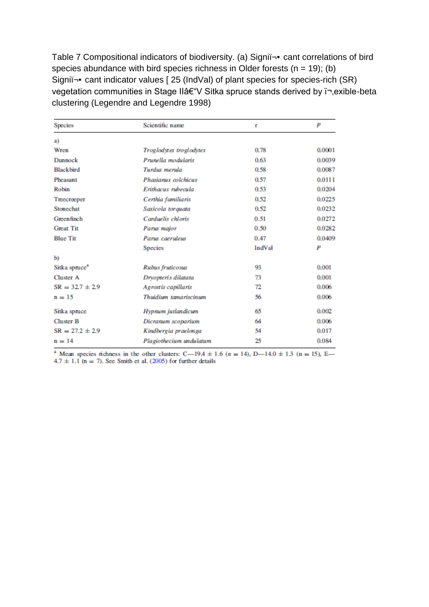Table 7 Compositional indicators of biodiversity. (a) Signiﬕ cant correlations of bird species abundance with bird species richness in Older forests ( $n = 19$ ); (b) Signi $\rightarrow$  cant indicator values [ 25 (IndVal) of plant species for species-rich (SR) vegetation communities in Stage II†V Sitka spruce stands derived by i¬exible-beta clustering (Legendre and Legendre 1998)

| <b>Species</b>            | Scientific name         | г      | P      |
|---------------------------|-------------------------|--------|--------|
| a)                        |                         |        |        |
| Wren                      | Troglodytes troglodytes | 0.78   | 0.0001 |
| Dunnock                   | Prunella modularis      | 0.63   | 0.0039 |
| <b>Blackbird</b>          | Turdus merula           | 0.58   | 0.0087 |
| Pheasant                  | Phasianus colchicus     | 0.57   | 0.0111 |
| Robin                     | Erithacus rubecula      | 0.53   | 0.0204 |
| Treecreeper               | Certhia familiaris      | 0.52   | 0.0225 |
| Stonechat                 | Saxicola torquata       | 0.52   | 0.0232 |
| Greenfinch                | Carduelis chloris       | 0.51   | 0.0272 |
| <b>Great Tit</b>          | Parus major             | 0.50   | 0.0282 |
| <b>Blue Tit</b>           | Parus caeruleus         | 0.47   | 0.0409 |
|                           | Species                 | IndVal | P      |
| b)                        |                         |        |        |
| Sitka spruce <sup>a</sup> | Rubus fruticosus        | 93     | 0.001  |
| <b>Cluster A</b>          | Dryopteris dilatata     | 73     | 0.001  |
| $SR = 32.7 \pm 2.9$       | Agrostis capillaris     | 72     | 0.006  |
| $n = 15$                  | Thuidium tamariscinum   | 56     | 0.006  |
| Sitka spruce              | Hypnum jutlandicum      | 65     | 0.002  |
| <b>Cluster B</b>          | Dicranum scoparium      | 64     | 0.006  |
| $SR = 27.2 \pm 2.9$       | Kindbergia praelonga    | 54     | 0.017  |
| $n = 14$                  | Plagiothecium undulatum | 25     | 0.084  |

<sup>a</sup> Mean species richness in the other clusters: C-19.4  $\pm$  1.6 (n = 14), D-14.0  $\pm$  1.3 (n = 15), E- $4.7 \pm 1.1$  (n = 7). See Smith et al. (2005) for further details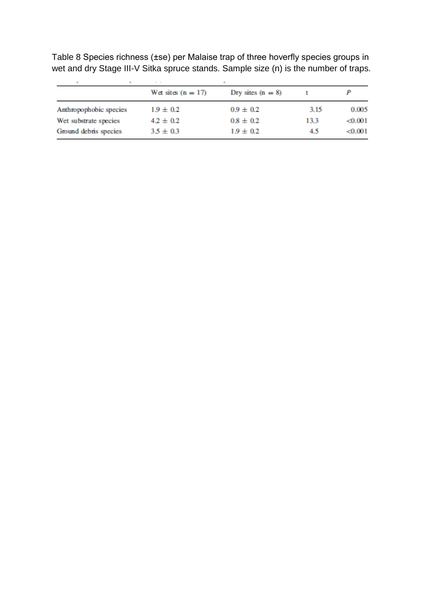| a.                     | а. | $\sim$               | $\overline{\phantom{a}}$ |      |         |
|------------------------|----|----------------------|--------------------------|------|---------|
|                        |    | Wet sites $(n = 17)$ | Dry sites $(n = 8)$      |      |         |
| Anthropophobic species |    | $1.9 \pm 0.2$        | $0.9 \pm 0.2$            | 3.15 | 0.005   |
| Wet substrate species  |    | $4.2 \pm 0.2$        | $0.8 \pm 0.2$            | 13.3 | < 0.001 |
| Ground debris species  |    | $3.5 \pm 0.3$        | $1.9 \pm 0.2$            | 4.5  | < 0.001 |

Table 8 Species richness (±se) per Malaise trap of three hoverfly species groups in wet and dry Stage III-V Sitka spruce stands. Sample size (n) is the number of traps.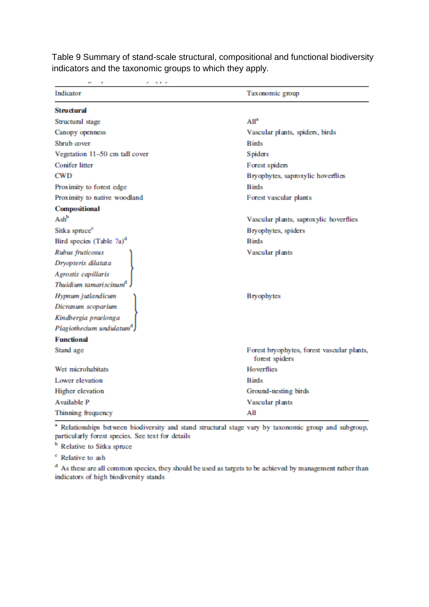Table 9 Summary of stand-scale structural, compositional and functional biodiversity indicators and the taxonomic groups to which they apply.

**Construction of the construction** 

| Indicator                              | Taxonomic group                                              |
|----------------------------------------|--------------------------------------------------------------|
| Structural                             |                                                              |
| Structural stage                       | All <sup>a</sup>                                             |
| Canopy openness                        | Vascular plants, spiders, birds                              |
| Shrub cover                            | <b>Birds</b>                                                 |
| Vegetation 11-50 cm tall cover         | <b>Spiders</b>                                               |
| <b>Conifer litter</b>                  | Forest spiders                                               |
| <b>CWD</b>                             | Bryophytes, saproxylic hoverflies                            |
| Proximity to forest edge               | <b>Rinks</b>                                                 |
| Proximity to native woodland           | Forest vascular plants                                       |
| Compositional                          |                                                              |
| $\mathbf{Ash}^b$                       | Vascular plants, saproxylic hoverflies                       |
| Sitka spruce <sup>e</sup>              | Bryophytes, spiders                                          |
| Bird species (Table 7a) <sup>d</sup>   | <b>Birds</b>                                                 |
| Rubus fruticosus                       | Vascular plants                                              |
| Dryopteris dilatata                    |                                                              |
| Agrostis capillaris                    |                                                              |
| Thuidium tamariscinum <sup>a</sup>     |                                                              |
| Hypnum jutlandicum                     | <b>Bryophytes</b>                                            |
| Dicranum scoparium                     |                                                              |
| Kindbergia praelonga                   |                                                              |
| Plagiothecium undulatum <sup>a</sup> , |                                                              |
| <b>Functional</b>                      |                                                              |
| Stand age                              | Forest bryophytes, forest vascular plants,<br>forest spiders |
| Wet microhabitats                      | Hoverflies                                                   |
| Lower elevation                        | <b>Birds</b>                                                 |
| Higher elevation                       | Ground-nesting birds                                         |
| Available P                            | Vascular plants                                              |
| Thinning frequency                     | All                                                          |

<sup>a</sup> Relationships between biodiversity and stand structural stage vary by taxonomic group and subgroup, particularly forest species. See text for details

<sup>b</sup> Relative to Sitka spruce

<sup>e</sup> Relative to ash

<sup>d</sup> As these are all common species, they should be used as targets to be achieved by management rather than indicators of high biodiversity stands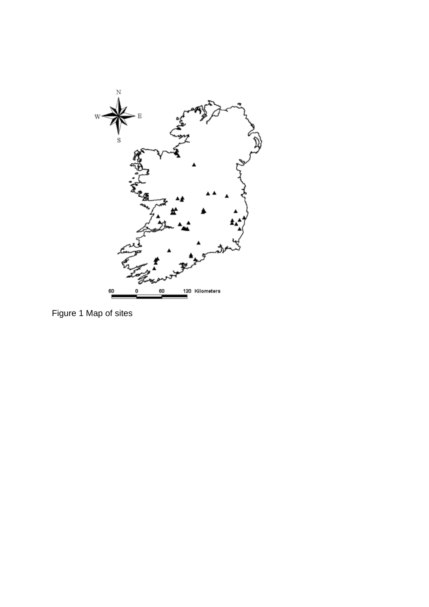

Figure 1 Map of sites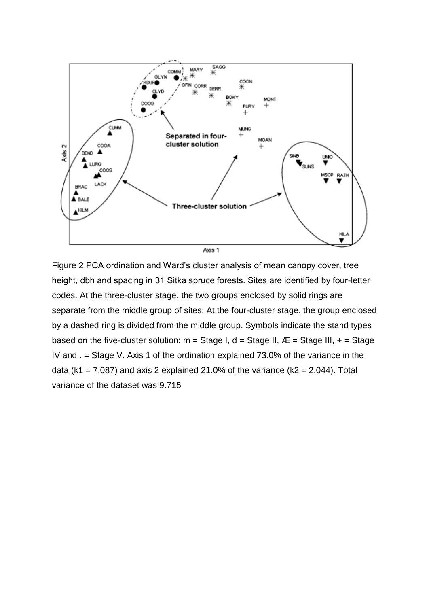

Figure 2 PCA ordination and Ward's cluster analysis of mean canopy cover, tree height, dbh and spacing in 31 Sitka spruce forests. Sites are identified by four-letter codes. At the three-cluster stage, the two groups enclosed by solid rings are separate from the middle group of sites. At the four-cluster stage, the group enclosed by a dashed ring is divided from the middle group. Symbols indicate the stand types based on the five-cluster solution:  $m =$  Stage I,  $d =$  Stage II,  $E =$  Stage III,  $+ =$  Stage IV and . = Stage V. Axis 1 of the ordination explained 73.0% of the variance in the data (k1 = 7.087) and axis 2 explained 21.0% of the variance (k2 = 2.044). Total variance of the dataset was 9.715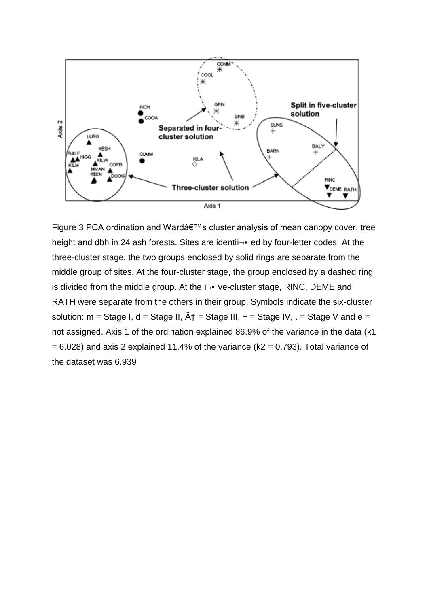

Figure 3 PCA ordination and Ward's cluster analysis of mean canopy cover, tree height and dbh in 24 ash forests. Sites are identiﬕ ed by four-letter codes. At the three-cluster stage, the two groups enclosed by solid rings are separate from the middle group of sites. At the four-cluster stage, the group enclosed by a dashed ring is divided from the middle group. At the i¥ ve-cluster stage, RINC, DEME and RATH were separate from the others in their group. Symbols indicate the six-cluster solution:  $m =$  Stage I,  $d =$  Stage II,  $\tilde{A}$ † = Stage III, + = Stage IV, . = Stage V and e = not assigned. Axis 1 of the ordination explained 86.9% of the variance in the data (k1  $= 6.028$ ) and axis 2 explained 11.4% of the variance (k2 = 0.793). Total variance of the dataset was 6.939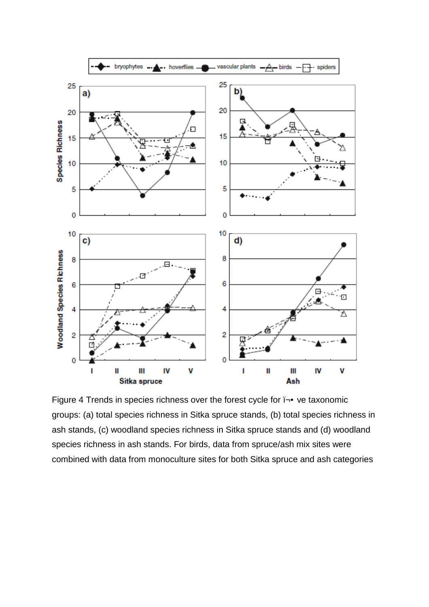

Figure 4 Trends in species richness over the forest cycle for ﬕ ve taxonomic groups: (a) total species richness in Sitka spruce stands, (b) total species richness in ash stands, (c) woodland species richness in Sitka spruce stands and (d) woodland species richness in ash stands. For birds, data from spruce/ash mix sites were combined with data from monoculture sites for both Sitka spruce and ash categories